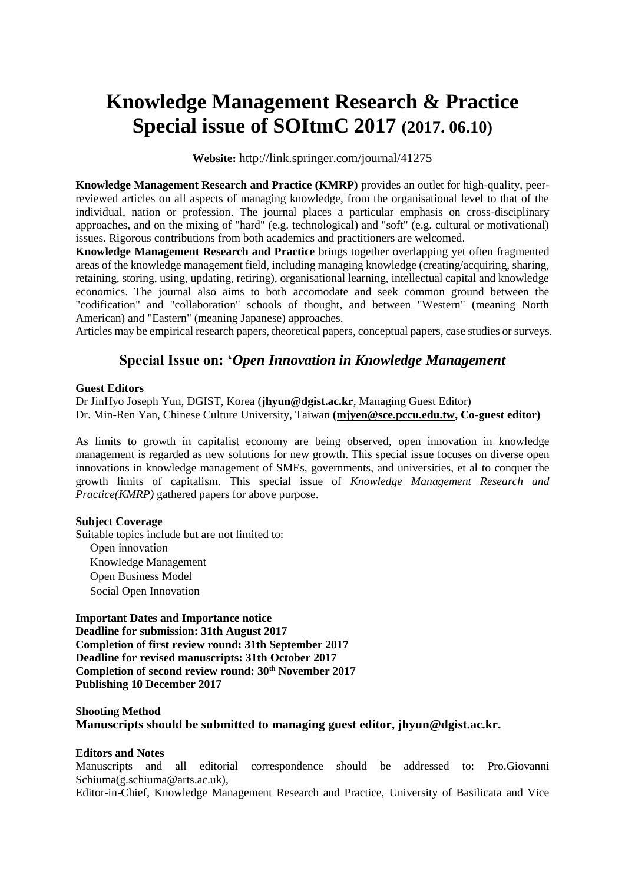# **Knowledge Management Research & Practice Special issue of SOItmC 2017 (2017. 06.10)**

**Website:** <http://link.springer.com/journal/41275>

**Knowledge Management Research and Practice (KMRP)** provides an outlet for high-quality, peerreviewed articles on all aspects of managing knowledge, from the organisational level to that of the individual, nation or profession. The journal places a particular emphasis on cross-disciplinary approaches, and on the mixing of "hard" (e.g. technological) and "soft" (e.g. cultural or motivational) issues. Rigorous contributions from both academics and practitioners are welcomed.

**Knowledge Management Research and Practice** brings together overlapping yet often fragmented areas of the knowledge management field, including managing knowledge (creating/acquiring, sharing, retaining, storing, using, updating, retiring), organisational learning, intellectual capital and knowledge economics. The journal also aims to both accomodate and seek common ground between the "codification" and "collaboration" schools of thought, and between "Western" (meaning North American) and "Eastern" (meaning Japanese) approaches.

Articles may be empirical research papers, theoretical papers, conceptual papers, case studies or surveys.

# **Special Issue on: '***Open Innovation in Knowledge Management*

## **Guest Editors**

Dr JinHyo Joseph Yun, DGIST, Korea (**jhyun@dgist.ac.kr**, Managing Guest Editor) Dr. Min-Ren Yan, Chinese Culture University, Taiwan **[\(mjyen@sce.pccu.edu.tw,](mailto:mjyen@sce.pccu.edu.tw) Co-guest editor)**

As limits to growth in capitalist economy are being observed, open innovation in knowledge management is regarded as new solutions for new growth. This special issue focuses on diverse open innovations in knowledge management of SMEs, governments, and universities, et al to conquer the growth limits of capitalism. This special issue of *Knowledge Management Research and Practice(KMRP)* gathered papers for above purpose.

#### **Subject Coverage**

Suitable topics include but are not limited to: Open innovation Knowledge Management Open Business Model Social Open Innovation

**Important Dates and Importance notice Deadline for submission: 31th August 2017 Completion of first review round: 31th September 2017 Deadline for revised manuscripts: 31th October 2017 Completion of second review round: 30th November 2017 Publishing 10 December 2017**

## **Shooting Method Manuscripts should be submitted to managing guest editor, jhyun@dgist.ac.kr.**

## **Editors and Notes**

Manuscripts and all editorial correspondence should be addressed to: Pro.Giovanni Schiuma(g.schiuma@arts.ac.uk),

Editor-in-Chief, Knowledge Management Research and Practice, University of Basilicata and Vice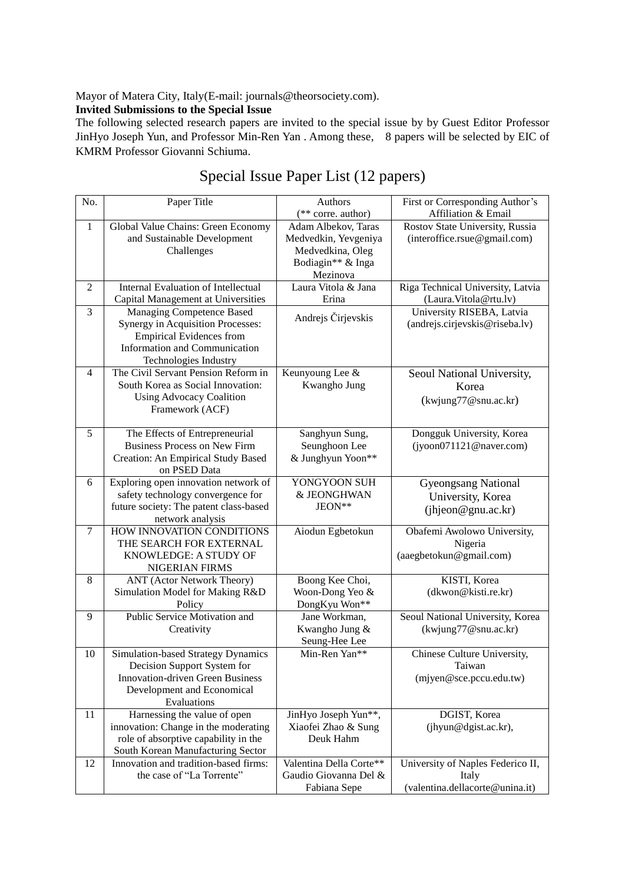Mayor of Matera City, Italy(E-mail: journals@theorsociety.com).

## **Invited Submissions to the Special Issue**

The following selected research papers are invited to the special issue by by Guest Editor Professor JinHyo Joseph Yun, and Professor Min-Ren Yan . Among these, 8 papers will be selected by EIC of KMRM Professor Giovanni Schiuma.

| No.            | Paper Title                                        | Authors                        | First or Corresponding Author's   |
|----------------|----------------------------------------------------|--------------------------------|-----------------------------------|
|                |                                                    | (** corre. author)             | Affiliation & Email               |
| $\mathbf{1}$   | Global Value Chains: Green Economy                 | Adam Albekov, Taras            | Rostov State University, Russia   |
|                | and Sustainable Development                        | Medvedkin, Yevgeniya           | (interoffice.rsue@gmail.com)      |
|                | Challenges                                         | Medvedkina, Oleg               |                                   |
|                |                                                    | Bodiagin** & Inga              |                                   |
|                |                                                    | Mezinova                       |                                   |
| $\overline{c}$ | <b>Internal Evaluation of Intellectual</b>         | Laura Vitola & Jana            | Riga Technical University, Latvia |
|                | Capital Management at Universities                 | Erina                          | (Laura.Vitola@rtu.lv)             |
| $\overline{3}$ | Managing Competence Based                          | Andrejs Čirjevskis             | University RISEBA, Latvia         |
|                | Synergy in Acquisition Processes:                  |                                | (andrejs.cirjevskis@riseba.lv)    |
|                | <b>Empirical Evidences from</b>                    |                                |                                   |
|                | Information and Communication                      |                                |                                   |
|                | Technologies Industry                              |                                |                                   |
| 4              | The Civil Servant Pension Reform in                | Keunyoung Lee &                | Seoul National University,        |
|                | South Korea as Social Innovation:                  | Kwangho Jung                   | Korea                             |
|                | <b>Using Advocacy Coalition</b><br>Framework (ACF) |                                | (kwjung77@snu.ac.kr)              |
|                |                                                    |                                |                                   |
| 5              | The Effects of Entrepreneurial                     | Sanghyun Sung,                 | Dongguk University, Korea         |
|                | <b>Business Process on New Firm</b>                | Seunghoon Lee                  | (iyoon071121@naver.com)           |
|                | Creation: An Empirical Study Based                 | & Junghyun Yoon**              |                                   |
|                | on PSED Data                                       |                                |                                   |
| 6              | Exploring open innovation network of               | YONGYOON SUH                   | <b>Gyeongsang National</b>        |
|                | safety technology convergence for                  | & JEONGHWAN                    | University, Korea                 |
|                | future society: The patent class-based             | JEON**                         | (ihjeon@gnu.ac.kr)                |
|                | network analysis                                   |                                |                                   |
| $\tau$         | HOW INNOVATION CONDITIONS                          | Aiodun Egbetokun               | Obafemi Awolowo University,       |
|                | THE SEARCH FOR EXTERNAL                            |                                | Nigeria                           |
|                | KNOWLEDGE: A STUDY OF                              |                                | (aaegbetokun@gmail.com)           |
|                | NIGERIAN FIRMS                                     |                                |                                   |
| 8              | <b>ANT</b> (Actor Network Theory)                  | Boong Kee Choi,                | KISTI, Korea                      |
|                | Simulation Model for Making R&D                    | Woon-Dong Yeo &                | (dkwon@kisti.re.kr)               |
| 9              | Policy<br>Public Service Motivation and            | DongKyu Won**<br>Jane Workman, | Seoul National University, Korea  |
|                | Creativity                                         | Kwangho Jung &                 | (kwjung77@snu.ac.kr)              |
|                |                                                    | Seung-Hee Lee                  |                                   |
| 10             | Simulation-based Strategy Dynamics                 | Min-Ren Yan**                  | Chinese Culture University,       |
|                | Decision Support System for                        |                                | Taiwan                            |
|                | <b>Innovation-driven Green Business</b>            |                                | (mjyen@sce.pccu.edu.tw)           |
|                | Development and Economical                         |                                |                                   |
|                | Evaluations                                        |                                |                                   |
| 11             | Harnessing the value of open                       | JinHyo Joseph Yun**,           | DGIST, Korea                      |
|                | innovation: Change in the moderating               | Xiaofei Zhao & Sung            | (jhyun@dgist.ac.kr),              |
|                | role of absorptive capability in the               | Deuk Hahm                      |                                   |
|                | South Korean Manufacturing Sector                  |                                |                                   |
| 12             | Innovation and tradition-based firms:              | Valentina Della Corte**        | University of Naples Federico II, |
|                | the case of "La Torrente"                          | Gaudio Giovanna Del &          | Italy                             |
|                |                                                    | Fabiana Sepe                   | (valentina.dellacorte@unina.it)   |

# Special Issue Paper List (12 papers)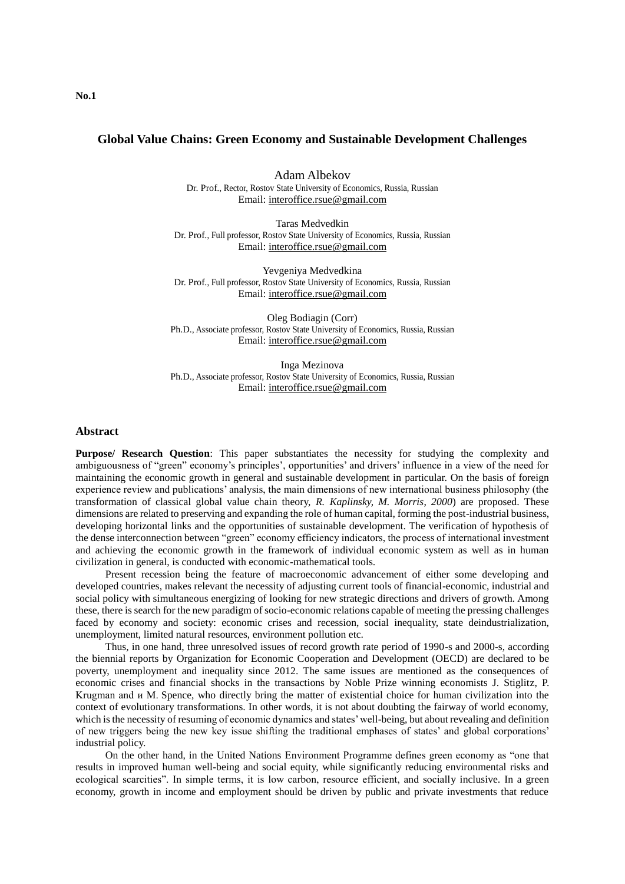### **Global Value Chains: Green Economy and Sustainable Development Challenges**

Adam Albekov Dr. Prof., Rector, Rostov State University of Economics, Russia, Russian Email: [interoffice.rsue@gmail.com](mailto:interoffice.rsue@gmail.com)

Taras Medvedkin Dr. Prof., Full professor, Rostov State University of Economics, Russia, Russian Email: [interoffice.rsue@gmail.com](mailto:interoffice.rsue@gmail.com)

Yevgeniya Medvedkina Dr. Prof., Full professor, Rostov State University of Economics, Russia, Russian Email: [interoffice.rsue@gmail.com](mailto:interoffice.rsue@gmail.com)

Oleg Bodiagin (Corr) Ph.D., Associate professor, Rostov State University of Economics, Russia, Russian Email: [interoffice.rsue@gmail.com](mailto:interoffice.rsue@gmail.com)

Inga Mezinova Ph.D., Associate professor, Rostov State University of Economics, Russia, Russian Email: [interoffice.rsue@gmail.com](mailto:interoffice.rsue@gmail.com)

#### **Abstract**

**Purpose/ Research Question**: This paper substantiates the necessity for studying the complexity and ambiguousness of "green" economy's principles', opportunities' and drivers' influence in a view of the need for maintaining the economic growth in general and sustainable development in particular. On the basis of foreign experience review and publications' analysis, the main dimensions of new international business philosophy (the transformation of classical global value chain theory, *R. Kaplinsky, M. Morris*, *2000*) are proposed. These dimensions are related to preserving and expanding the role of human capital, forming the post-industrial business, developing horizontal links and the opportunities of sustainable development. The verification of hypothesis of the dense interconnection between "green" economy efficiency indicators, the process of international investment and achieving the economic growth in the framework of individual economic system as well as in human civilization in general, is conducted with economic-mathematical tools.

Present recession being the feature of macroeconomic advancement of either some developing and developed countries, makes relevant the necessity of adjusting current tools of financial-economic, industrial and social policy with simultaneous energizing of looking for new strategic directions and drivers of growth. Among these, there is search for the new paradigm of socio-economic relations capable of meeting the pressing challenges faced by economy and society: economic crises and recession, social inequality, state deindustrialization, unemployment, limited natural resources, environment pollution etc.

Thus, in one hand, three unresolved issues of record growth rate period of 1990-s and 2000-s, according the biennial reports by Organization for Economic Cooperation and Development (OECD) are declared to be poverty, unemployment and inequality since 2012. The same issues are mentioned as the consequences of economic crises and financial shocks in the transactions by Noble Prize winning economists J. Stiglitz, P. Krugman and и М. Spence, who directly bring the matter of existential choice for human civilization into the context of evolutionary transformations. In other words, it is not about doubting the fairway of world economy, which is the necessity of resuming of economic dynamics and states' well-being, but about revealing and definition of new triggers being the new key issue shifting the traditional emphases of states' and global corporations' industrial policy.

On the other hand, in the United Nations Environment Programme defines green economy as "one that results in improved human well-being and social equity, while significantly reducing environmental risks and ecological scarcities". In simple terms, it is low carbon, resource efficient, and socially inclusive. In a green economy, growth in income and employment should be driven by public and private investments that reduce

**No.1**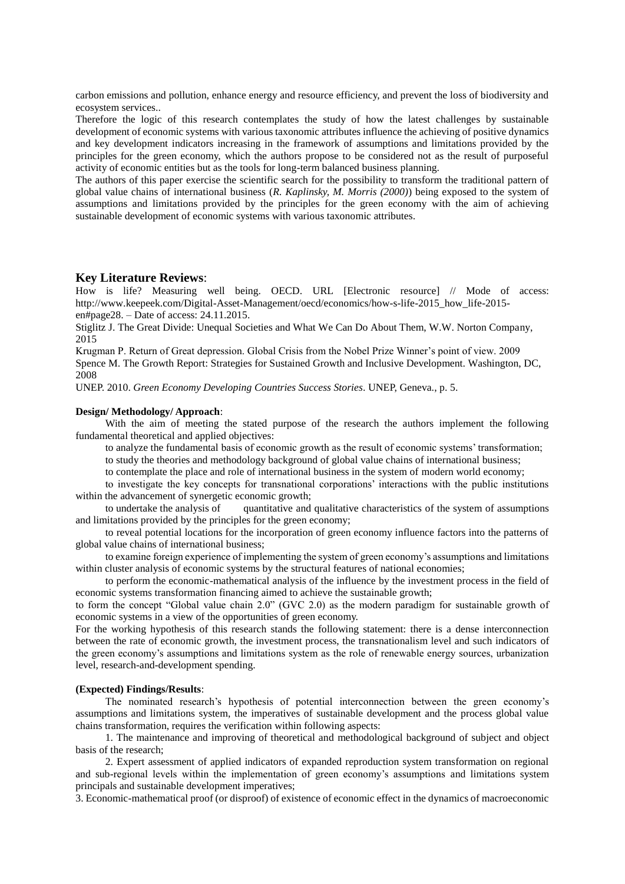carbon emissions and pollution, enhance energy and resource efficiency, and prevent the loss of biodiversity and ecosystem services..

Therefore the logic of this research contemplates the study of how the latest challenges by sustainable development of economic systems with various taxonomic attributes influence the achieving of positive dynamics and key development indicators increasing in the framework of assumptions and limitations provided by the principles for the green economy, which the authors propose to be considered not as the result of purposeful activity of economic entities but as the tools for long-term balanced business planning.

The authors of this paper exercise the scientific search for the possibility to transform the traditional pattern of global value chains of international business (*R. Kaplinsky, M. Morris (2000)*) being exposed to the system of assumptions and limitations provided by the principles for the green economy with the aim of achieving sustainable development of economic systems with various taxonomic attributes.

#### **Key Literature Reviews**:

How is life? Measuring well being. OECD. URL [Electronic resource] // Mode of access: http://www.keepeek.com/Digital-Asset-Management/oecd/economics/how-s-life-2015 how life-2015en#page28. – Date of access: 24.11.2015.

Stiglitz J. The Great Divide: Unequal Societies and What We Can Do About Them, W.W. Norton Company, 2015

Krugman P. Return of Great depression. Global Crisis from the Nobel Prize Winner's point of view. 2009 Spence M. The Growth Report: Strategies for Sustained Growth and Inclusive Development. Washington, DC, 2008

UNEP. 2010. *Green Economy Developing Countries Success Stories*. UNEP, Geneva., p. 5.

#### **Design/ Methodology/ Approach**:

With the aim of meeting the stated purpose of the research the authors implement the following fundamental theoretical and applied objectives:

to analyze the fundamental basis of economic growth as the result of economic systems' transformation;

to study the theories and methodology background of global value chains of international business;

to contemplate the place and role of international business in the system of modern world economy;

to investigate the key concepts for transnational corporations' interactions with the public institutions within the advancement of synergetic economic growth;

to undertake the analysis of quantitative and qualitative characteristics of the system of assumptions and limitations provided by the principles for the green economy;

to reveal potential locations for the incorporation of green economy influence factors into the patterns of global value chains of international business;

to examine foreign experience of implementing the system of green economy's assumptions and limitations within cluster analysis of economic systems by the structural features of national economies;

to perform the economic-mathematical analysis of the influence by the investment process in the field of economic systems transformation financing aimed to achieve the sustainable growth;

to form the concept "Global value chain 2.0" (GVC 2.0) as the modern paradigm for sustainable growth of economic systems in a view of the opportunities of green economy.

For the working hypothesis of this research stands the following statement: there is a dense interconnection between the rate of economic growth, the investment process, the transnationalism level and such indicators of the green economy's assumptions and limitations system as the role of renewable energy sources, urbanization level, research-and-development spending.

#### **(Expected) Findings/Results**:

The nominated research's hypothesis of potential interconnection between the green economy's assumptions and limitations system, the imperatives of sustainable development and the process global value chains transformation, requires the verification within following aspects:

1. The maintenance and improving of theoretical and methodological background of subject and object basis of the research;

2. Expert assessment of applied indicators of expanded reproduction system transformation on regional and sub-regional levels within the implementation of green economy's assumptions and limitations system principals and sustainable development imperatives;

3. Economic-mathematical proof (or disproof) of existence of economic effect in the dynamics of macroeconomic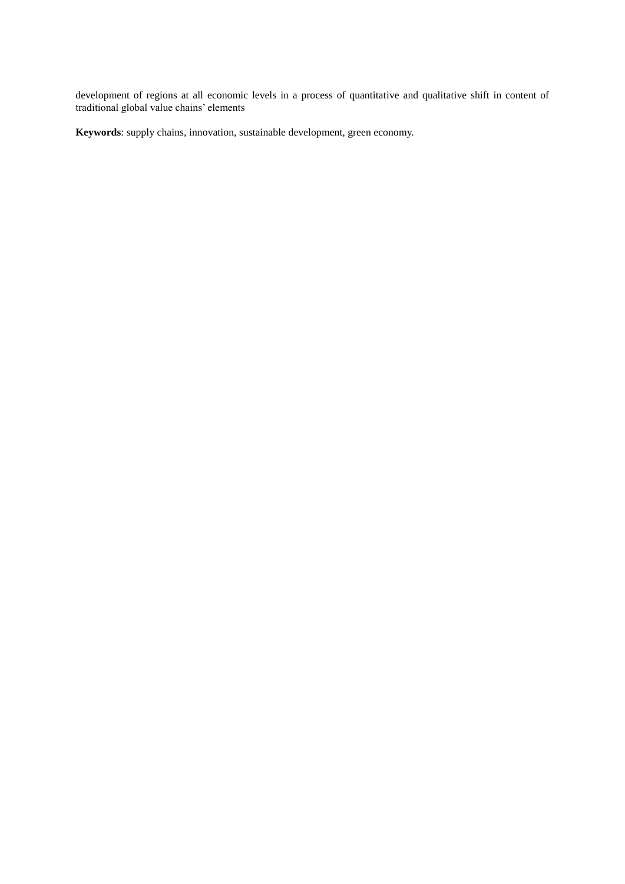development of regions at all economic levels in a process of quantitative and qualitative shift in content of traditional global value chains' elements

**Keywords**: supply chains, innovation, sustainable development, green economy.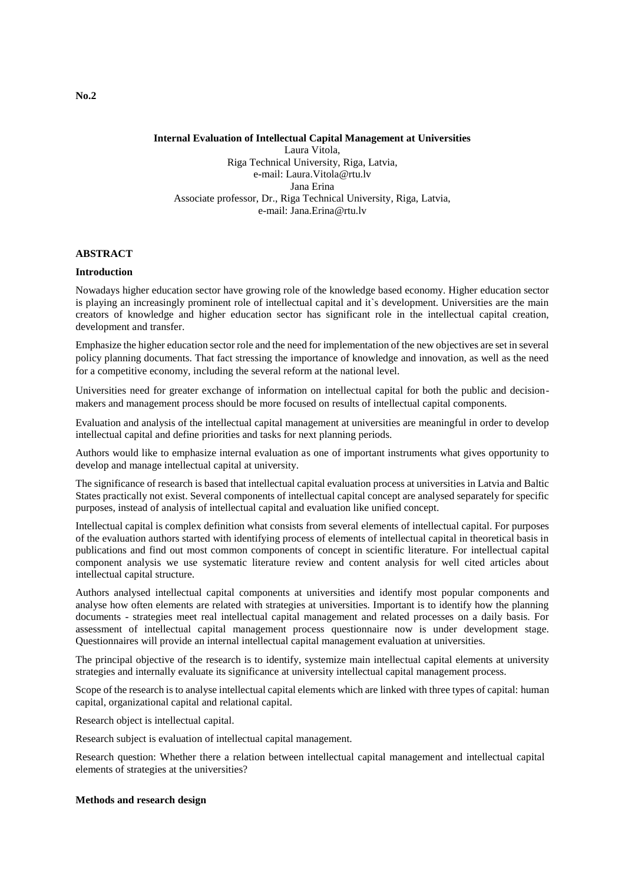#### **Internal Evaluation of Intellectual Capital Management at Universities** Laura Vitola, Riga Technical University, Riga, Latvia, e-mail: Laura.Vitola@rtu.lv Jana Erina Associate professor, Dr., Riga Technical University, Riga, Latvia, e-mail: Jana.Erina@rtu.lv

#### **ABSTRACT**

#### **Introduction**

Nowadays higher education sector have growing role of the knowledge based economy. Higher education sector is playing an increasingly prominent role of intellectual capital and it`s development. Universities are the main creators of knowledge and higher education sector has significant role in the intellectual capital creation, development and transfer.

Emphasize the higher education sector role and the need for implementation of the new objectives are set in several policy planning documents. That fact stressing the importance of knowledge and innovation, as well as the need for a competitive economy, including the several reform at the national level.

Universities need for greater exchange of information on intellectual capital for both the public and decisionmakers and management process should be more focused on results of intellectual capital components.

Evaluation and analysis of the intellectual capital management at universities are meaningful in order to develop intellectual capital and define priorities and tasks for next planning periods.

Authors would like to emphasize internal evaluation as one of important instruments what gives opportunity to develop and manage intellectual capital at university.

The significance of research is based that intellectual capital evaluation process at universities in Latvia and Baltic States practically not exist. Several components of intellectual capital concept are analysed separately for specific purposes, instead of analysis of intellectual capital and evaluation like unified concept.

Intellectual capital is complex definition what consists from several elements of intellectual capital. For purposes of the evaluation authors started with identifying process of elements of intellectual capital in theoretical basis in publications and find out most common components of concept in scientific literature. For intellectual capital component analysis we use systematic literature review and content analysis for well cited articles about intellectual capital structure.

Authors analysed intellectual capital components at universities and identify most popular components and analyse how often elements are related with strategies at universities. Important is to identify how the planning documents - strategies meet real intellectual capital management and related processes on a daily basis. For assessment of intellectual capital management process questionnaire now is under development stage. Questionnaires will provide an internal intellectual capital management evaluation at universities.

The principal objective of the research is to identify, systemize main intellectual capital elements at university strategies and internally evaluate its significance at university intellectual capital management process.

Scope of the research is to analyse intellectual capital elements which are linked with three types of capital: human capital, organizational capital and relational capital.

Research object is intellectual capital.

Research subject is evaluation of intellectual capital management.

Research question: Whether there a relation between intellectual capital management and intellectual capital elements of strategies at the universities?

#### **Methods and research design**

**No.2**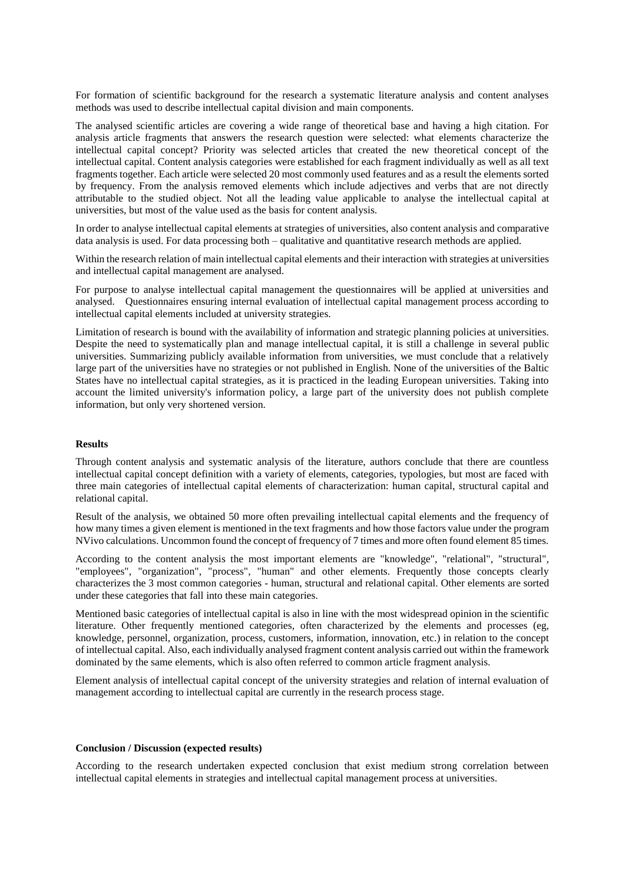For formation of scientific background for the research a systematic literature analysis and content analyses methods was used to describe intellectual capital division and main components.

The analysed scientific articles are covering a wide range of theoretical base and having a high citation. For analysis article fragments that answers the research question were selected: what elements characterize the intellectual capital concept? Priority was selected articles that created the new theoretical concept of the intellectual capital. Content analysis categories were established for each fragment individually as well as all text fragments together. Each article were selected 20 most commonly used features and as a result the elements sorted by frequency. From the analysis removed elements which include adjectives and verbs that are not directly attributable to the studied object. Not all the leading value applicable to analyse the intellectual capital at universities, but most of the value used as the basis for content analysis.

In order to analyse intellectual capital elements at strategies of universities, also content analysis and comparative data analysis is used. For data processing both – qualitative and quantitative research methods are applied.

Within the research relation of main intellectual capital elements and their interaction with strategies at universities and intellectual capital management are analysed.

For purpose to analyse intellectual capital management the questionnaires will be applied at universities and analysed. Questionnaires ensuring internal evaluation of intellectual capital management process according to intellectual capital elements included at university strategies.

Limitation of research is bound with the availability of information and strategic planning policies at universities. Despite the need to systematically plan and manage intellectual capital, it is still a challenge in several public universities. Summarizing publicly available information from universities, we must conclude that a relatively large part of the universities have no strategies or not published in English. None of the universities of the Baltic States have no intellectual capital strategies, as it is practiced in the leading European universities. Taking into account the limited university's information policy, a large part of the university does not publish complete information, but only very shortened version.

#### **Results**

Through content analysis and systematic analysis of the literature, authors conclude that there are countless intellectual capital concept definition with a variety of elements, categories, typologies, but most are faced with three main categories of intellectual capital elements of characterization: human capital, structural capital and relational capital.

Result of the analysis, we obtained 50 more often prevailing intellectual capital elements and the frequency of how many times a given element is mentioned in the text fragments and how those factors value under the program NVivo calculations. Uncommon found the concept of frequency of 7 times and more often found element 85 times.

According to the content analysis the most important elements are "knowledge", "relational", "structural", "employees", "organization", "process", "human" and other elements. Frequently those concepts clearly characterizes the 3 most common categories - human, structural and relational capital. Other elements are sorted under these categories that fall into these main categories.

Mentioned basic categories of intellectual capital is also in line with the most widespread opinion in the scientific literature. Other frequently mentioned categories, often characterized by the elements and processes (eg, knowledge, personnel, organization, process, customers, information, innovation, etc.) in relation to the concept of intellectual capital. Also, each individually analysed fragment content analysis carried out within the framework dominated by the same elements, which is also often referred to common article fragment analysis.

Element analysis of intellectual capital concept of the university strategies and relation of internal evaluation of management according to intellectual capital are currently in the research process stage.

#### **Conclusion / Discussion (expected results)**

According to the research undertaken expected conclusion that exist medium strong correlation between intellectual capital elements in strategies and intellectual capital management process at universities.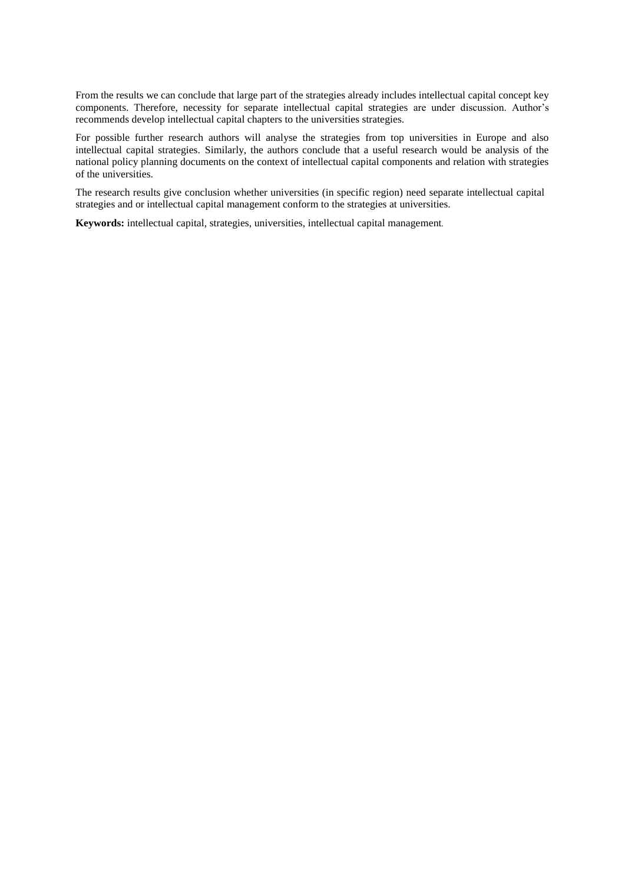From the results we can conclude that large part of the strategies already includes intellectual capital concept key components. Therefore, necessity for separate intellectual capital strategies are under discussion. Author's recommends develop intellectual capital chapters to the universities strategies.

For possible further research authors will analyse the strategies from top universities in Europe and also intellectual capital strategies. Similarly, the authors conclude that a useful research would be analysis of the national policy planning documents on the context of intellectual capital components and relation with strategies of the universities.

The research results give conclusion whether universities (in specific region) need separate intellectual capital strategies and or intellectual capital management conform to the strategies at universities.

**Keywords:** intellectual capital, strategies, universities, intellectual capital management.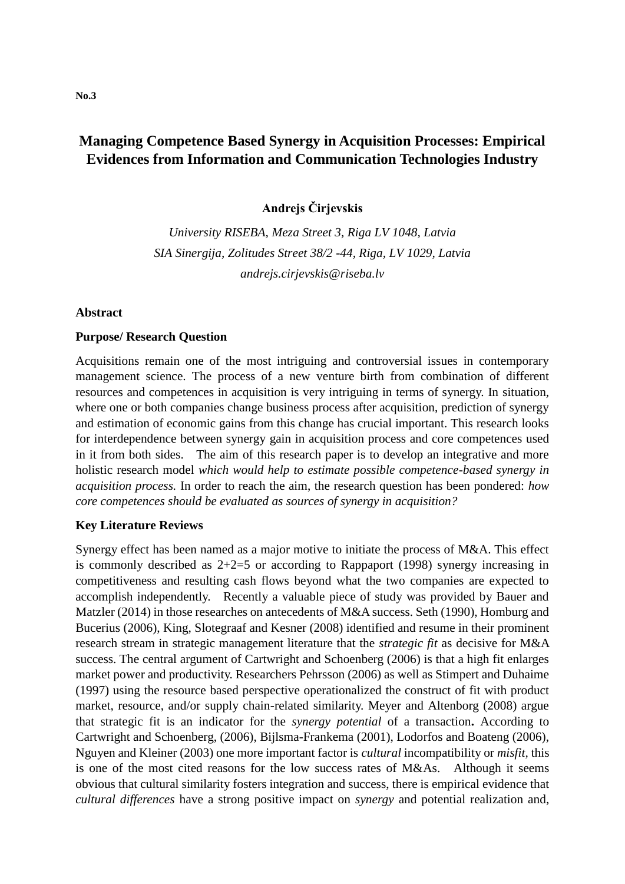# **Managing Competence Based Synergy in Acquisition Processes: Empirical Evidences from Information and Communication Technologies Industry**

**Andrejs Čirjevskis**

*University RISEBA, Meza Street 3, Riga LV 1048, Latvia SIA Sinergija, Zolitudes Street 38/2 -44, Riga, LV 1029, Latvia andrejs.cirjevskis@riseba.lv*

## **Abstract**

## **Purpose/ Research Question**

Acquisitions remain one of the most intriguing and controversial issues in contemporary management science. The process of a new venture birth from combination of different resources and competences in acquisition is very intriguing in terms of synergy. In situation, where one or both companies change business process after acquisition, prediction of synergy and estimation of economic gains from this change has crucial important. This research looks for interdependence between synergy gain in acquisition process and core competences used in it from both sides. The aim of this research paper is to develop an integrative and more holistic research model *which would help to estimate possible competence-based synergy in acquisition process.* In order to reach the aim, the research question has been pondered: *how core competences should be evaluated as sources of synergy in acquisition?*

## **Key Literature Reviews**

Synergy effect has been named as a major motive to initiate the process of M&A. This effect is commonly described as  $2+2=5$  or according to Rappaport (1998) synergy increasing in competitiveness and resulting cash flows beyond what the two companies are expected to accomplish independently. Recently a valuable piece of study was provided by Bauer and Matzler (2014) in those researches on antecedents of M&A success. Seth (1990), Homburg and Bucerius (2006), King, Slotegraaf and Kesner (2008) identified and resume in their prominent research stream in strategic management literature that the *strategic fit* as decisive for M&A success. The central argument of Cartwright and Schoenberg (2006) is that a high fit enlarges market power and productivity. Researchers Pehrsson (2006) as well as Stimpert and Duhaime (1997) using the resource based perspective operationalized the construct of fit with product market, resource, and/or supply chain-related similarity. Meyer and Altenborg (2008) argue that strategic fit is an indicator for the *synergy potential* of a transaction**.** According to Cartwright and Schoenberg, (2006), Bijlsma-Frankema (2001), Lodorfos and Boateng (2006), Nguyen and Kleiner (2003) one more important factor is *cultural* incompatibility or *misfit,* this is one of the most cited reasons for the low success rates of M&As. Although it seems obvious that cultural similarity fosters integration and success, there is empirical evidence that *cultural differences* have a strong positive impact on *synergy* and potential realization and,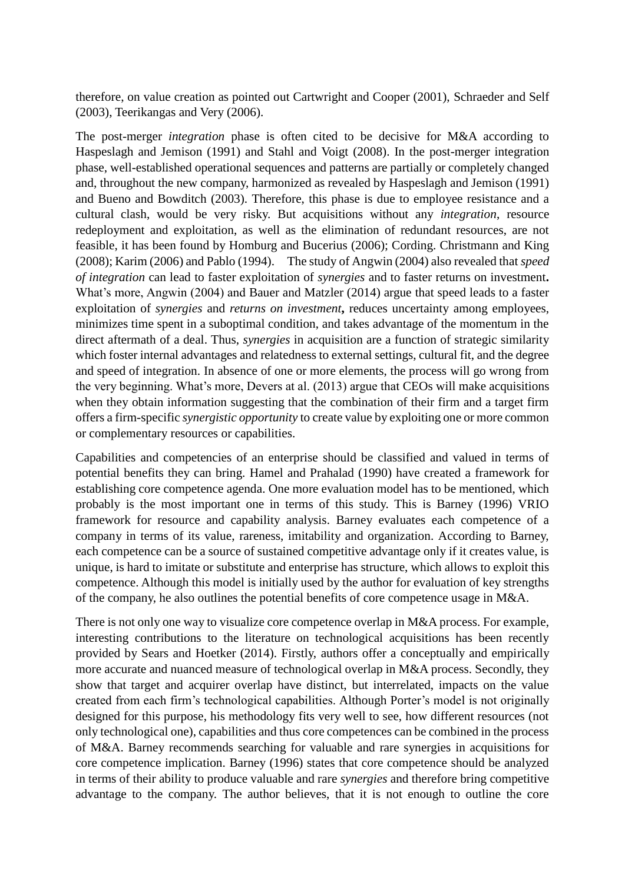therefore, on value creation as pointed out Cartwright and Cooper (2001), Schraeder and Self (2003), Teerikangas and Very (2006).

The post-merger *integration* phase is often cited to be decisive for M&A according to Haspeslagh and Jemison (1991) and Stahl and Voigt (2008). In the post-merger integration phase, well-established operational sequences and patterns are partially or completely changed and, throughout the new company, harmonized as revealed by Haspeslagh and Jemison (1991) and Bueno and Bowditch (2003). Therefore, this phase is due to employee resistance and a cultural clash, would be very risky. But acquisitions without any *integration*, resource redeployment and exploitation, as well as the elimination of redundant resources, are not feasible, it has been found by Homburg and Bucerius (2006); Cording. Christmann and King (2008); Karim (2006) and Pablo (1994). The study of Angwin (2004) also revealed that *speed of integration* can lead to faster exploitation of *synergies* and to faster returns on investment**.**  What's more, Angwin (2004) and Bauer and Matzler (2014) argue that speed leads to a faster exploitation of *synergies* and *returns on investment***,** reduces uncertainty among employees, minimizes time spent in a suboptimal condition, and takes advantage of the momentum in the direct aftermath of a deal. Thus, *synergies* in acquisition are a function of strategic similarity which foster internal advantages and relatedness to external settings, cultural fit, and the degree and speed of integration. In absence of one or more elements, the process will go wrong from the very beginning. What's more, Devers at al. (2013) argue that CEOs will make acquisitions when they obtain information suggesting that the combination of their firm and a target firm offers a firm-specific *synergistic opportunity* to create value by exploiting one or more common or complementary resources or capabilities.

Capabilities and competencies of an enterprise should be classified and valued in terms of potential benefits they can bring. Hamel and Prahalad (1990) have created a framework for establishing core competence agenda. One more evaluation model has to be mentioned, which probably is the most important one in terms of this study. This is Barney (1996) VRIO framework for resource and capability analysis. Barney evaluates each competence of a company in terms of its value, rareness, imitability and organization. According to Barney, each competence can be a source of sustained competitive advantage only if it creates value, is unique, is hard to imitate or substitute and enterprise has structure, which allows to exploit this competence. Although this model is initially used by the author for evaluation of key strengths of the company, he also outlines the potential benefits of core competence usage in M&A.

There is not only one way to visualize core competence overlap in M&A process. For example, interesting contributions to the literature on technological acquisitions has been recently provided by Sears and Hoetker (2014). Firstly, authors offer a conceptually and empirically more accurate and nuanced measure of technological overlap in M&A process. Secondly, they show that target and acquirer overlap have distinct, but interrelated, impacts on the value created from each firm's technological capabilities. Although Porter's model is not originally designed for this purpose, his methodology fits very well to see, how different resources (not only technological one), capabilities and thus core competences can be combined in the process of M&A. Barney recommends searching for valuable and rare synergies in acquisitions for core competence implication. Barney (1996) states that core competence should be analyzed in terms of their ability to produce valuable and rare *synergies* and therefore bring competitive advantage to the company. The author believes, that it is not enough to outline the core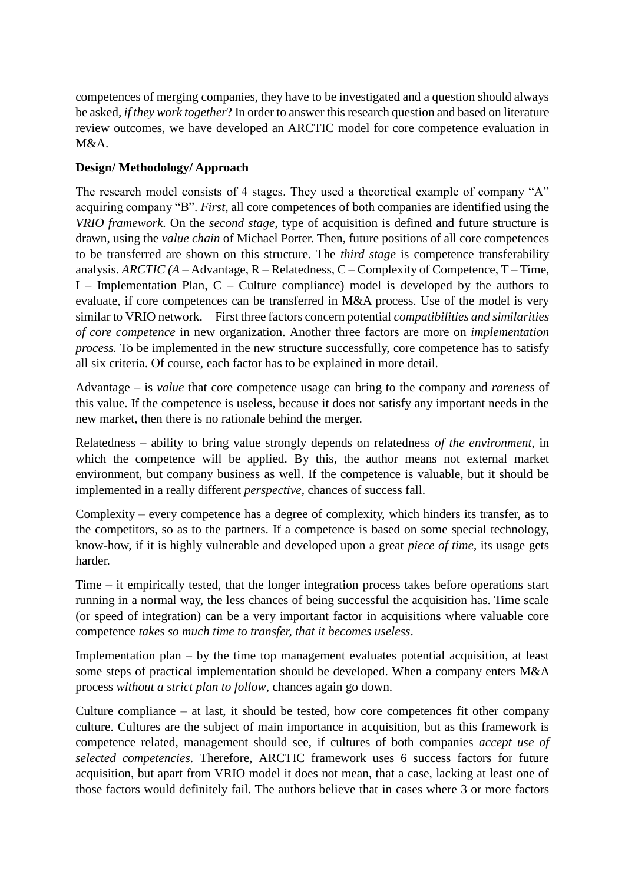competences of merging companies, they have to be investigated and a question should always be asked*, if they work together*? In order to answer this research question and based on literature review outcomes, we have developed an ARCTIC model for core competence evaluation in M&A.

# **Design/ Methodology/ Approach**

The research model consists of 4 stages. They used a theoretical example of company "A" acquiring company "B". *First,* all core competences of both companies are identified using the *VRIO framework*. On the *second stage*, type of acquisition is defined and future structure is drawn, using the *value chain* of Michael Porter. Then, future positions of all core competences to be transferred are shown on this structure. The *third stage* is competence transferability analysis. *ARCTIC (A* – Advantage, R – Relatedness, C – Complexity of Competence, T – Time, I – Implementation Plan, C – Culture compliance) model is developed by the authors to evaluate, if core competences can be transferred in M&A process. Use of the model is very similar to VRIO network. First three factors concern potential *compatibilities and similarities of core competence* in new organization. Another three factors are more on *implementation process.* To be implemented in the new structure successfully, core competence has to satisfy all six criteria. Of course, each factor has to be explained in more detail.

Advantage – is *value* that core competence usage can bring to the company and *rareness* of this value. If the competence is useless, because it does not satisfy any important needs in the new market, then there is no rationale behind the merger.

Relatedness – ability to bring value strongly depends on relatedness *of the environment*, in which the competence will be applied. By this, the author means not external market environment, but company business as well. If the competence is valuable, but it should be implemented in a really different *perspective*, chances of success fall.

Complexity – every competence has a degree of complexity, which hinders its transfer, as to the competitors, so as to the partners. If a competence is based on some special technology, know-how, if it is highly vulnerable and developed upon a great *piece of time*, its usage gets harder.

Time – it empirically tested, that the longer integration process takes before operations start running in a normal way, the less chances of being successful the acquisition has. Time scale (or speed of integration) can be a very important factor in acquisitions where valuable core competence *takes so much time to transfer, that it becomes useless*.

Implementation plan – by the time top management evaluates potential acquisition, at least some steps of practical implementation should be developed. When a company enters M&A process *without a strict plan to follow*, chances again go down.

Culture compliance – at last, it should be tested, how core competences fit other company culture. Cultures are the subject of main importance in acquisition, but as this framework is competence related, management should see, if cultures of both companies *accept use of selected competencies*. Therefore, ARCTIC framework uses 6 success factors for future acquisition, but apart from VRIO model it does not mean, that a case, lacking at least one of those factors would definitely fail. The authors believe that in cases where 3 or more factors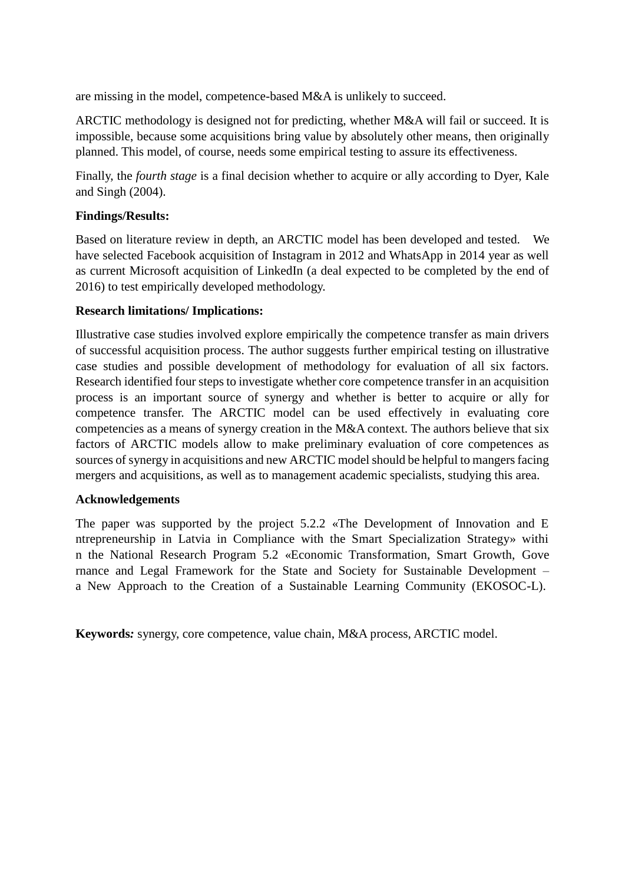are missing in the model, competence-based M&A is unlikely to succeed.

ARCTIC methodology is designed not for predicting, whether M&A will fail or succeed. It is impossible, because some acquisitions bring value by absolutely other means, then originally planned. This model, of course, needs some empirical testing to assure its effectiveness.

Finally, the *fourth stage* is a final decision whether to acquire or ally according to Dyer, Kale and Singh (2004).

# **Findings/Results:**

Based on literature review in depth, an ARCTIC model has been developed and tested. We have selected Facebook acquisition of Instagram in 2012 and WhatsApp in 2014 year as well as current Microsoft acquisition of LinkedIn (a deal expected to be completed by the end of 2016) to test empirically developed methodology.

# **Research limitations/ Implications:**

Illustrative case studies involved explore empirically the competence transfer as main drivers of successful acquisition process. The author suggests further empirical testing on illustrative case studies and possible development of methodology for evaluation of all six factors. Research identified four steps to investigate whether core competence transfer in an acquisition process is an important source of synergy and whether is better to acquire or ally for competence transfer. The ARCTIC model can be used effectively in evaluating core competencies as a means of synergy creation in the M&A context. The authors believe that six factors of ARCTIC models allow to make preliminary evaluation of core competences as sources of synergy in acquisitions and new ARCTIC model should be helpful to mangers facing mergers and acquisitions, as well as to management academic specialists, studying this area.

# **Acknowledgements**

The paper was supported by the project 5.2.2 «The Development of Innovation and E ntrepreneurship in Latvia in Compliance with the Smart Specialization Strategy» withi n the National Research Program 5.2 «Economic Transformation, Smart Growth, Gove rnance and Legal Framework for the State and Society for Sustainable Development – a New Approach to the Creation of a Sustainable Learning Community (EKOSOC-L).

**Keywords***:* synergy, core competence, value chain, M&A process, ARCTIC model.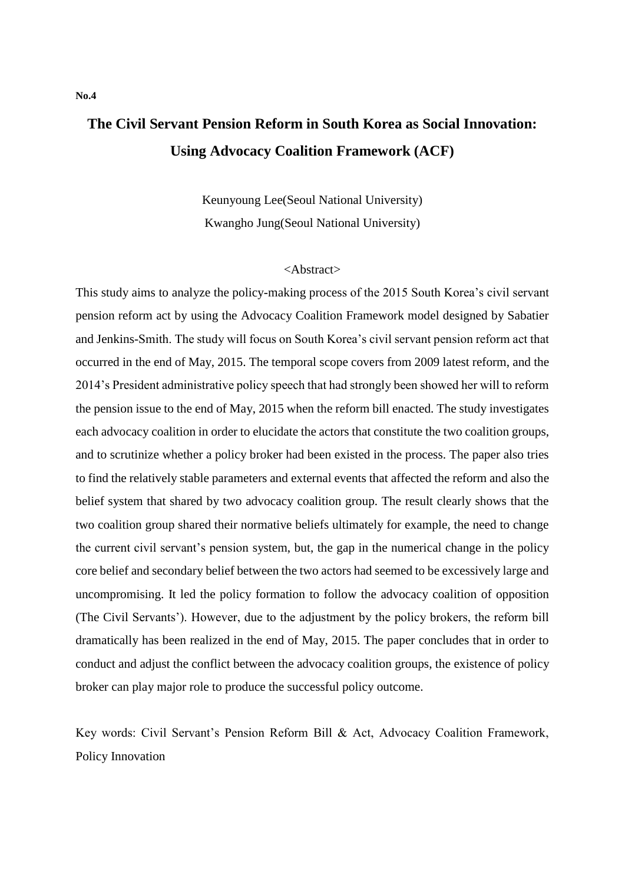# **The Civil Servant Pension Reform in South Korea as Social Innovation: Using Advocacy Coalition Framework (ACF)**

Keunyoung Lee(Seoul National University) Kwangho Jung(Seoul National University)

## <Abstract>

This study aims to analyze the policy-making process of the 2015 South Korea's civil servant pension reform act by using the Advocacy Coalition Framework model designed by Sabatier and Jenkins-Smith. The study will focus on South Korea's civil servant pension reform act that occurred in the end of May, 2015. The temporal scope covers from 2009 latest reform, and the 2014's President administrative policy speech that had strongly been showed her will to reform the pension issue to the end of May, 2015 when the reform bill enacted. The study investigates each advocacy coalition in order to elucidate the actors that constitute the two coalition groups, and to scrutinize whether a policy broker had been existed in the process. The paper also tries to find the relatively stable parameters and external events that affected the reform and also the belief system that shared by two advocacy coalition group. The result clearly shows that the two coalition group shared their normative beliefs ultimately for example, the need to change the current civil servant's pension system, but, the gap in the numerical change in the policy core belief and secondary belief between the two actors had seemed to be excessively large and uncompromising. It led the policy formation to follow the advocacy coalition of opposition (The Civil Servants'). However, due to the adjustment by the policy brokers, the reform bill dramatically has been realized in the end of May, 2015. The paper concludes that in order to conduct and adjust the conflict between the advocacy coalition groups, the existence of policy broker can play major role to produce the successful policy outcome.

Key words: Civil Servant's Pension Reform Bill & Act, Advocacy Coalition Framework, Policy Innovation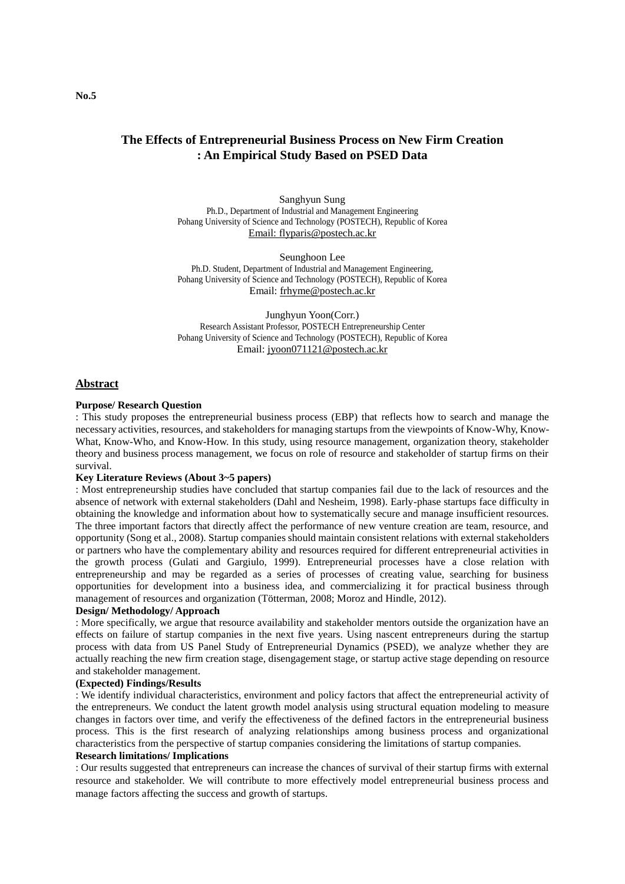## **The Effects of Entrepreneurial Business Process on New Firm Creation : An Empirical Study Based on PSED Data**

Sanghyun Sung Ph.D., Department of Industrial and Management Engineering Pohang University of Science and Technology (POSTECH), Republic of Korea Email: flyparis@postech.ac.kr

Seunghoon Lee Ph.D. Student, Department of Industrial and Management Engineering, Pohang University of Science and Technology (POSTECH), Republic of Korea Email: [frhyme@postech.ac.kr](mailto:frhyme@postech.ac.kr)

Junghyun Yoon(Corr.) Research Assistant Professor, POSTECH Entrepreneurship Center Pohang University of Science and Technology (POSTECH), Republic of Korea Email: jyoon071121@postech.ac.kr

#### **Abstract**

#### **Purpose/ Research Question**

: This study proposes the entrepreneurial business process (EBP) that reflects how to search and manage the necessary activities, resources, and stakeholders for managing startups from the viewpoints of Know-Why, Know-What, Know-Who, and Know-How. In this study, using resource management, organization theory, stakeholder theory and business process management, we focus on role of resource and stakeholder of startup firms on their survival.

#### **Key Literature Reviews (About 3~5 papers)**

: Most entrepreneurship studies have concluded that startup companies fail due to the lack of resources and the absence of network with external stakeholders (Dahl and Nesheim, 1998). Early-phase startups face difficulty in obtaining the knowledge and information about how to systematically secure and manage insufficient resources. The three important factors that directly affect the performance of new venture creation are team, resource, and opportunity (Song et al., 2008). Startup companies should maintain consistent relations with external stakeholders or partners who have the complementary ability and resources required for different entrepreneurial activities in the growth process (Gulati and Gargiulo, 1999). Entrepreneurial processes have a close relation with entrepreneurship and may be regarded as a series of processes of creating value, searching for business opportunities for development into a business idea, and commercializing it for practical business through management of resources and organization (Tötterman, 2008; Moroz and Hindle, 2012).

#### **Design/ Methodology/ Approach**

: More specifically, we argue that resource availability and stakeholder mentors outside the organization have an effects on failure of startup companies in the next five years. Using nascent entrepreneurs during the startup process with data from US Panel Study of Entrepreneurial Dynamics (PSED), we analyze whether they are actually reaching the new firm creation stage, disengagement stage, or startup active stage depending on resource and stakeholder management.

#### **(Expected) Findings/Results**

: We identify individual characteristics, environment and policy factors that affect the entrepreneurial activity of the entrepreneurs. We conduct the latent growth model analysis using structural equation modeling to measure changes in factors over time, and verify the effectiveness of the defined factors in the entrepreneurial business process. This is the first research of analyzing relationships among business process and organizational characteristics from the perspective of startup companies considering the limitations of startup companies. **Research limitations/ Implications**

: Our results suggested that entrepreneurs can increase the chances of survival of their startup firms with external resource and stakeholder. We will contribute to more effectively model entrepreneurial business process and manage factors affecting the success and growth of startups.

**No.5**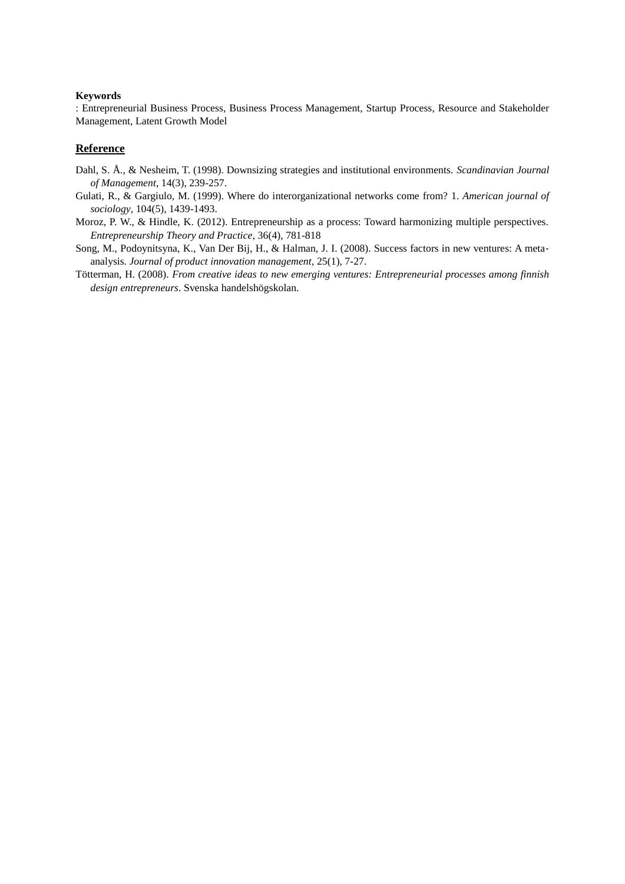#### **Keywords**

: Entrepreneurial Business Process, Business Process Management, Startup Process, Resource and Stakeholder Management, Latent Growth Model

## **Reference**

- Dahl, S. Å ., & Nesheim, T. (1998). Downsizing strategies and institutional environments. *Scandinavian Journal of Management*, 14(3), 239-257.
- Gulati, R., & Gargiulo, M. (1999). Where do interorganizational networks come from? 1. *American journal of sociology*, 104(5), 1439-1493.
- Moroz, P. W., & Hindle, K. (2012). Entrepreneurship as a process: Toward harmonizing multiple perspectives. *Entrepreneurship Theory and Practice*, 36(4), 781-818
- Song, M., Podoynitsyna, K., Van Der Bij, H., & Halman, J. I. (2008). Success factors in new ventures: A meta‐ analysis. *Journal of product innovation management*, 25(1), 7-27.
- Tötterman, H. (2008). *From creative ideas to new emerging ventures: Entrepreneurial processes among finnish design entrepreneurs*. Svenska handelshögskolan.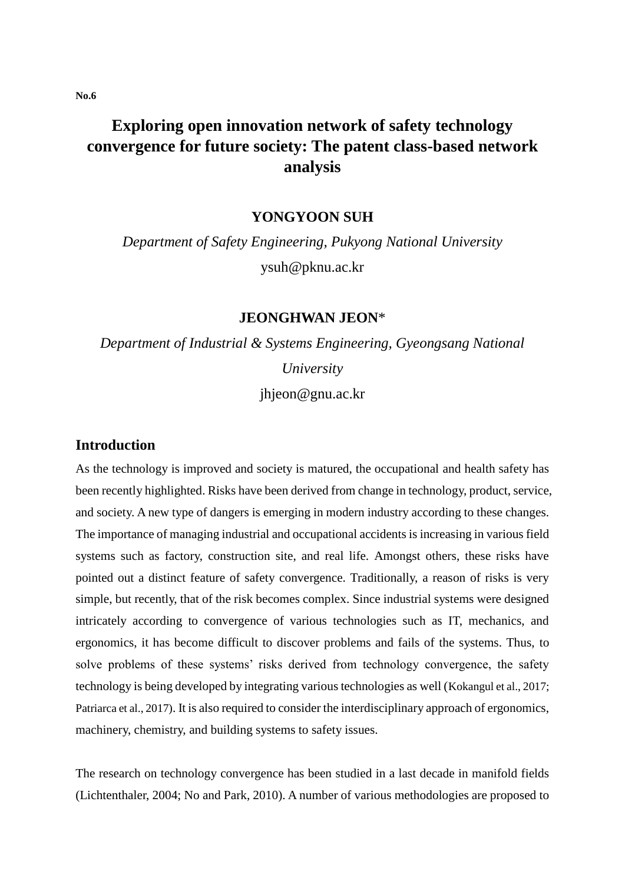# **Exploring open innovation network of safety technology convergence for future society: The patent class-based network analysis**

**YONGYOON SUH**

*Department of Safety Engineering, Pukyong National University* ysuh@pknu.ac.kr

# **JEONGHWAN JEON**\*

*Department of Industrial & Systems Engineering, Gyeongsang National University*

jhjeon@gnu.ac.kr

# **Introduction**

As the technology is improved and society is matured, the occupational and health safety has been recently highlighted. Risks have been derived from change in technology, product, service, and society. A new type of dangers is emerging in modern industry according to these changes. The importance of managing industrial and occupational accidents is increasing in various field systems such as factory, construction site, and real life. Amongst others, these risks have pointed out a distinct feature of safety convergence. Traditionally, a reason of risks is very simple, but recently, that of the risk becomes complex. Since industrial systems were designed intricately according to convergence of various technologies such as IT, mechanics, and ergonomics, it has become difficult to discover problems and fails of the systems. Thus, to solve problems of these systems' risks derived from technology convergence, the safety technology is being developed by integrating various technologies as well (Kokangul et al., 2017; Patriarca et al., 2017). It is also required to consider the interdisciplinary approach of ergonomics, machinery, chemistry, and building systems to safety issues.

The research on technology convergence has been studied in a last decade in manifold fields (Lichtenthaler, 2004; No and Park, 2010). A number of various methodologies are proposed to

**No.6**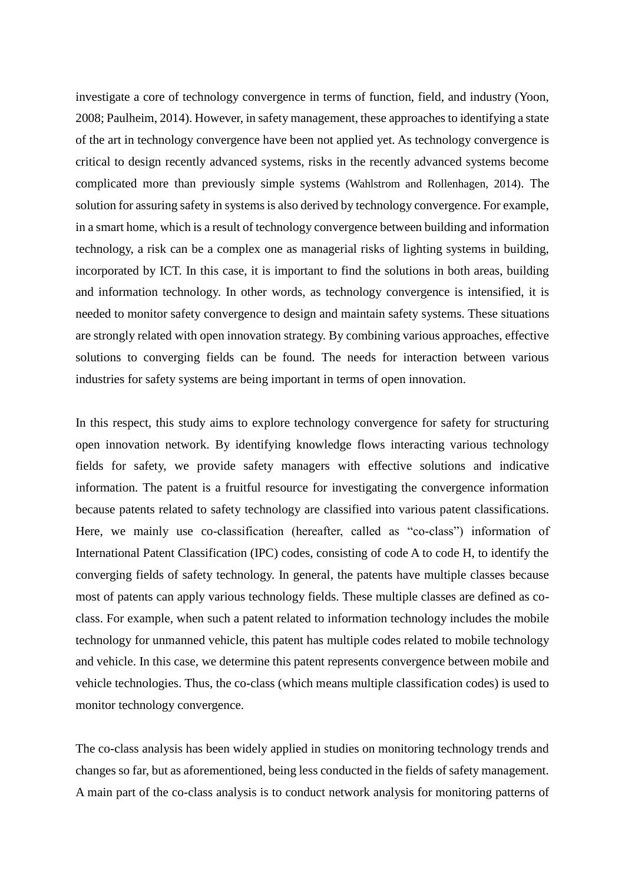investigate a core of technology convergence in terms of function, field, and industry (Yoon, 2008; Paulheim, 2014). However, in safety management, these approaches to identifying a state of the art in technology convergence have been not applied yet. As technology convergence is critical to design recently advanced systems, risks in the recently advanced systems become complicated more than previously simple systems (Wahlstrom and Rollenhagen, 2014). The solution for assuring safety in systems is also derived by technology convergence. For example, in a smart home, which is a result of technology convergence between building and information technology, a risk can be a complex one as managerial risks of lighting systems in building, incorporated by ICT. In this case, it is important to find the solutions in both areas, building and information technology. In other words, as technology convergence is intensified, it is needed to monitor safety convergence to design and maintain safety systems. These situations are strongly related with open innovation strategy. By combining various approaches, effective solutions to converging fields can be found. The needs for interaction between various industries for safety systems are being important in terms of open innovation.

In this respect, this study aims to explore technology convergence for safety for structuring open innovation network. By identifying knowledge flows interacting various technology fields for safety, we provide safety managers with effective solutions and indicative information. The patent is a fruitful resource for investigating the convergence information because patents related to safety technology are classified into various patent classifications. Here, we mainly use co-classification (hereafter, called as "co-class") information of International Patent Classification (IPC) codes, consisting of code A to code H, to identify the converging fields of safety technology. In general, the patents have multiple classes because most of patents can apply various technology fields. These multiple classes are defined as coclass. For example, when such a patent related to information technology includes the mobile technology for unmanned vehicle, this patent has multiple codes related to mobile technology and vehicle. In this case, we determine this patent represents convergence between mobile and vehicle technologies. Thus, the co-class (which means multiple classification codes) is used to monitor technology convergence.

The co-class analysis has been widely applied in studies on monitoring technology trends and changes so far, but as aforementioned, being less conducted in the fields of safety management. A main part of the co-class analysis is to conduct network analysis for monitoring patterns of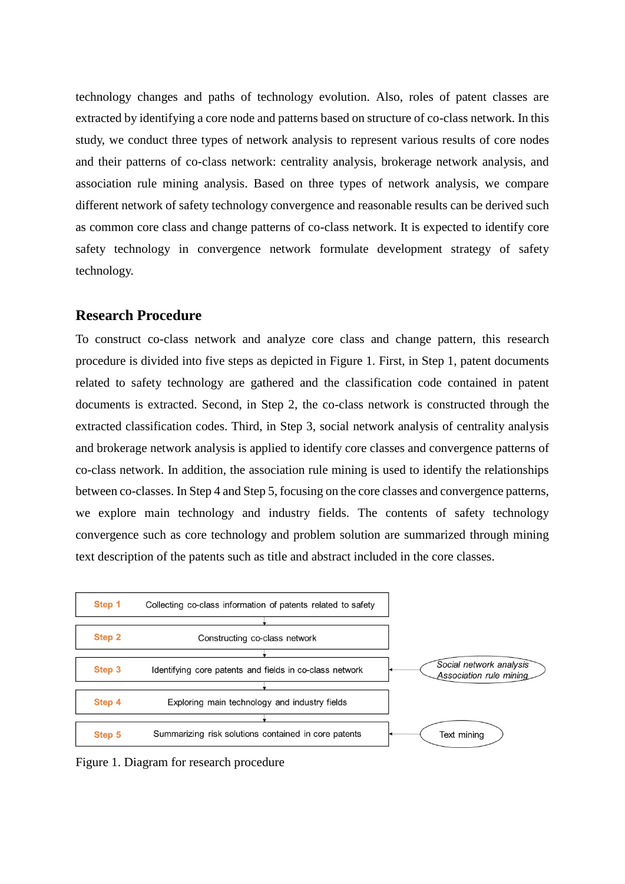technology changes and paths of technology evolution. Also, roles of patent classes are extracted by identifying a core node and patterns based on structure of co-class network. In this study, we conduct three types of network analysis to represent various results of core nodes and their patterns of co-class network: centrality analysis, brokerage network analysis, and association rule mining analysis. Based on three types of network analysis, we compare different network of safety technology convergence and reasonable results can be derived such as common core class and change patterns of co-class network. It is expected to identify core safety technology in convergence network formulate development strategy of safety technology.

# **Research Procedure**

To construct co-class network and analyze core class and change pattern, this research procedure is divided into five steps as depicted in Figure 1. First, in Step 1, patent documents related to safety technology are gathered and the classification code contained in patent documents is extracted. Second, in Step 2, the co-class network is constructed through the extracted classification codes. Third, in Step 3, social network analysis of centrality analysis and brokerage network analysis is applied to identify core classes and convergence patterns of co-class network. In addition, the association rule mining is used to identify the relationships between co-classes. In Step 4 and Step 5, focusing on the core classes and convergence patterns, we explore main technology and industry fields. The contents of safety technology convergence such as core technology and problem solution are summarized through mining text description of the patents such as title and abstract included in the core classes.



Figure 1. Diagram for research procedure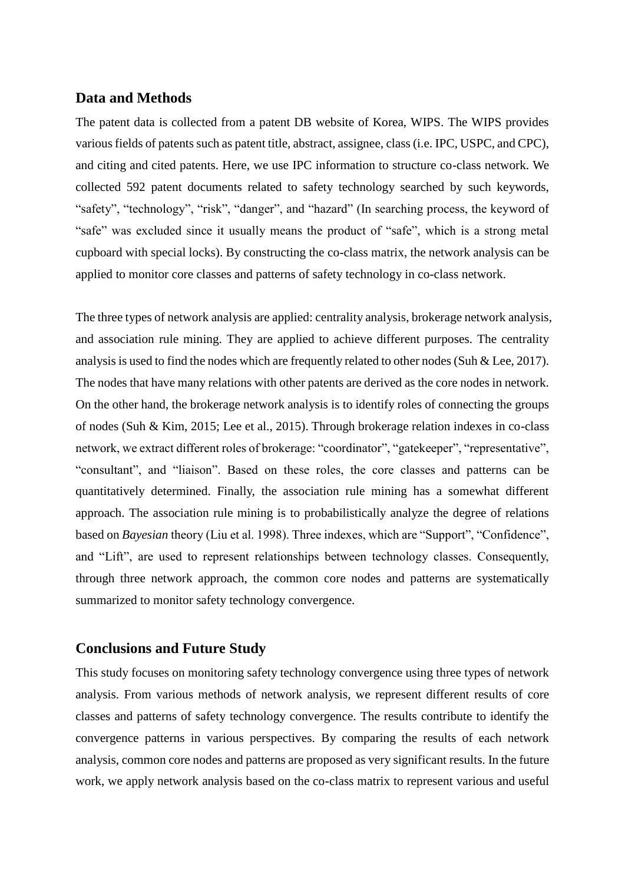# **Data and Methods**

The patent data is collected from a patent DB website of Korea, WIPS. The WIPS provides various fields of patents such as patent title, abstract, assignee, class (i.e. IPC, USPC, and CPC), and citing and cited patents. Here, we use IPC information to structure co-class network. We collected 592 patent documents related to safety technology searched by such keywords, "safety", "technology", "risk", "danger", and "hazard" (In searching process, the keyword of "safe" was excluded since it usually means the product of "safe", which is a strong metal cupboard with special locks). By constructing the co-class matrix, the network analysis can be applied to monitor core classes and patterns of safety technology in co-class network.

The three types of network analysis are applied: centrality analysis, brokerage network analysis, and association rule mining. They are applied to achieve different purposes. The centrality analysis is used to find the nodes which are frequently related to other nodes (Suh & Lee, 2017). The nodes that have many relations with other patents are derived as the core nodes in network. On the other hand, the brokerage network analysis is to identify roles of connecting the groups of nodes (Suh & Kim, 2015; Lee et al., 2015). Through brokerage relation indexes in co-class network, we extract different roles of brokerage: "coordinator", "gatekeeper", "representative", "consultant", and "liaison". Based on these roles, the core classes and patterns can be quantitatively determined. Finally, the association rule mining has a somewhat different approach. The association rule mining is to probabilistically analyze the degree of relations based on *Bayesian* theory (Liu et al. 1998). Three indexes, which are "Support", "Confidence", and "Lift", are used to represent relationships between technology classes. Consequently, through three network approach, the common core nodes and patterns are systematically summarized to monitor safety technology convergence.

# **Conclusions and Future Study**

This study focuses on monitoring safety technology convergence using three types of network analysis. From various methods of network analysis, we represent different results of core classes and patterns of safety technology convergence. The results contribute to identify the convergence patterns in various perspectives. By comparing the results of each network analysis, common core nodes and patterns are proposed as very significant results. In the future work, we apply network analysis based on the co-class matrix to represent various and useful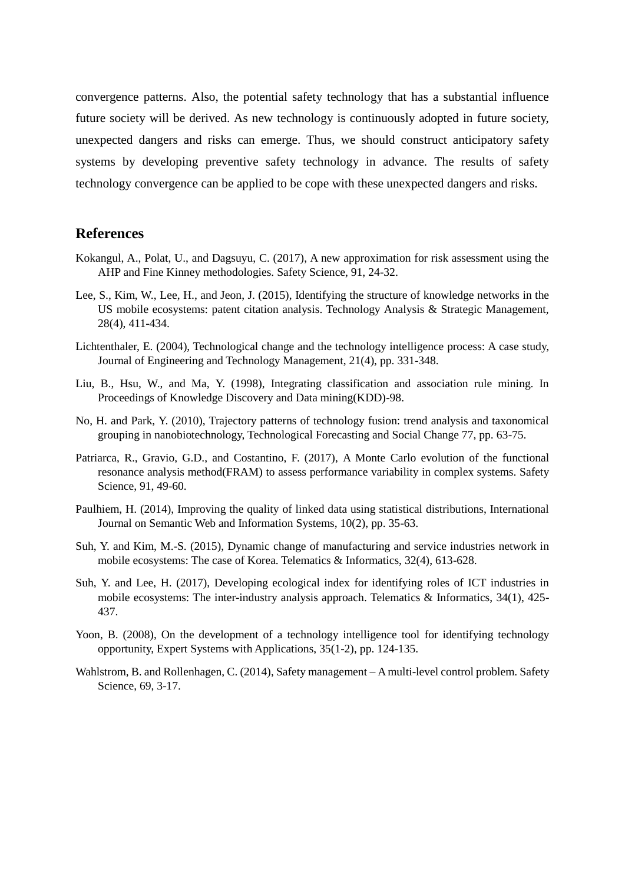convergence patterns. Also, the potential safety technology that has a substantial influence future society will be derived. As new technology is continuously adopted in future society, unexpected dangers and risks can emerge. Thus, we should construct anticipatory safety systems by developing preventive safety technology in advance. The results of safety technology convergence can be applied to be cope with these unexpected dangers and risks.

## **References**

- Kokangul, A., Polat, U., and Dagsuyu, C. (2017), A new approximation for risk assessment using the AHP and Fine Kinney methodologies. Safety Science, 91, 24-32.
- Lee, S., Kim, W., Lee, H., and Jeon, J. (2015), Identifying the structure of knowledge networks in the US mobile ecosystems: patent citation analysis. Technology Analysis & Strategic Management, 28(4), 411-434.
- Lichtenthaler, E. (2004), Technological change and the technology intelligence process: A case study, Journal of Engineering and Technology Management, 21(4), pp. 331-348.
- Liu, B., Hsu, W., and Ma, Y. (1998), Integrating classification and association rule mining. In Proceedings of Knowledge Discovery and Data mining(KDD)-98.
- No, H. and Park, Y. (2010), Trajectory patterns of technology fusion: trend analysis and taxonomical grouping in nanobiotechnology, Technological Forecasting and Social Change 77, pp. 63-75.
- Patriarca, R., Gravio, G.D., and Costantino, F. (2017), A Monte Carlo evolution of the functional resonance analysis method(FRAM) to assess performance variability in complex systems. Safety Science, 91, 49-60.
- Paulhiem, H. (2014), Improving the quality of linked data using statistical distributions, International Journal on Semantic Web and Information Systems, 10(2), pp. 35-63.
- Suh, Y. and Kim, M.-S. (2015), Dynamic change of manufacturing and service industries network in mobile ecosystems: The case of Korea. Telematics & Informatics, 32(4), 613-628.
- Suh, Y. and Lee, H. (2017), Developing ecological index for identifying roles of ICT industries in mobile ecosystems: The inter-industry analysis approach. Telematics & Informatics, 34(1), 425- 437.
- Yoon, B. (2008), On the development of a technology intelligence tool for identifying technology opportunity, Expert Systems with Applications, 35(1-2), pp. 124-135.
- Wahlstrom, B. and Rollenhagen, C. (2014), Safety management A multi-level control problem. Safety Science, 69, 3-17.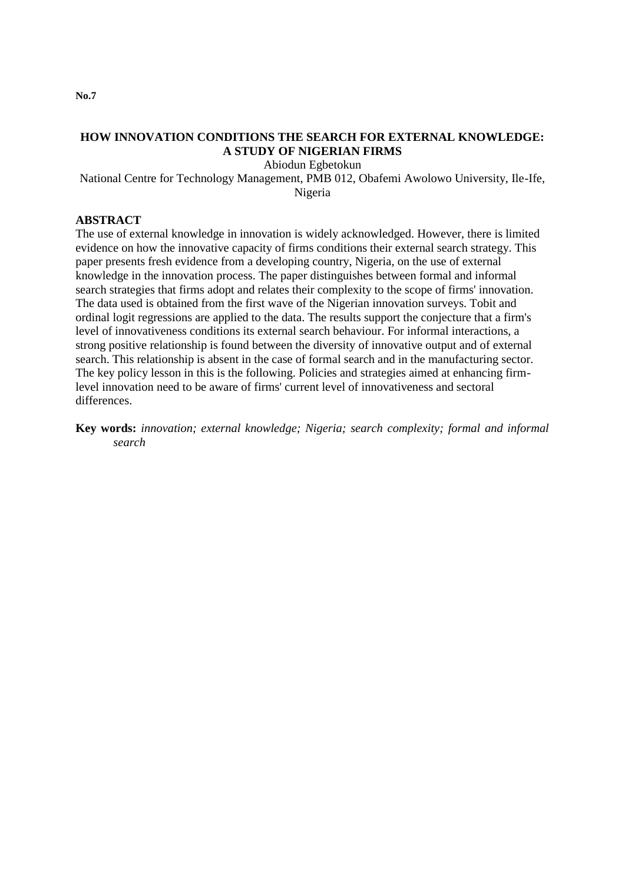**No.7**

# **HOW INNOVATION CONDITIONS THE SEARCH FOR EXTERNAL KNOWLEDGE: A STUDY OF NIGERIAN FIRMS**

Abiodun Egbetokun

National Centre for Technology Management, PMB 012, Obafemi Awolowo University, Ile-Ife, Nigeria

## **ABSTRACT**

The use of external knowledge in innovation is widely acknowledged. However, there is limited evidence on how the innovative capacity of firms conditions their external search strategy. This paper presents fresh evidence from a developing country, Nigeria, on the use of external knowledge in the innovation process. The paper distinguishes between formal and informal search strategies that firms adopt and relates their complexity to the scope of firms' innovation. The data used is obtained from the first wave of the Nigerian innovation surveys. Tobit and ordinal logit regressions are applied to the data. The results support the conjecture that a firm's level of innovativeness conditions its external search behaviour. For informal interactions, a strong positive relationship is found between the diversity of innovative output and of external search. This relationship is absent in the case of formal search and in the manufacturing sector. The key policy lesson in this is the following. Policies and strategies aimed at enhancing firmlevel innovation need to be aware of firms' current level of innovativeness and sectoral differences.

**Key words:** *innovation; external knowledge; Nigeria; search complexity; formal and informal search*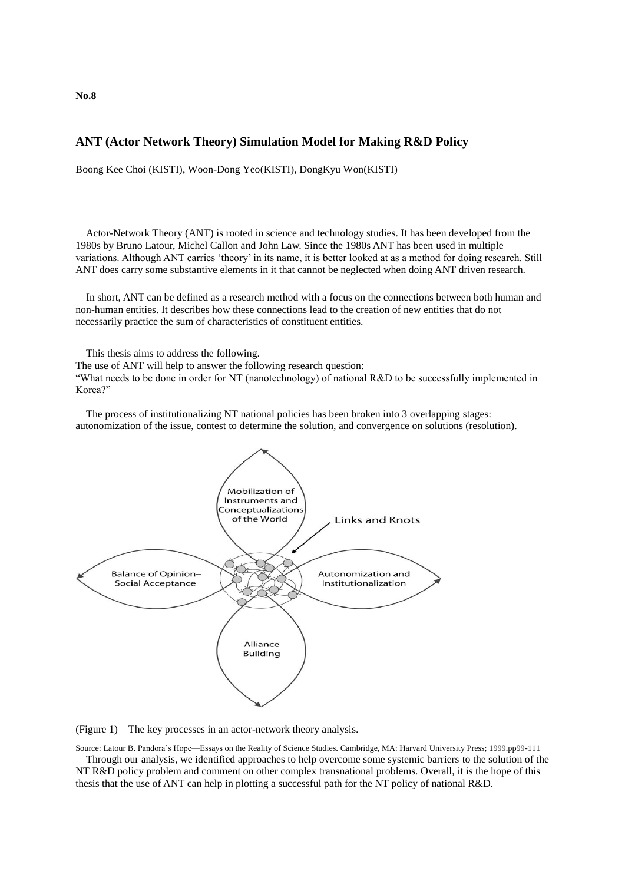**ANT (Actor Network Theory) Simulation Model for Making R&D Policy**

Boong Kee Choi (KISTI), Woon-Dong Yeo(KISTI), DongKyu Won(KISTI)

Actor-Network Theory (ANT) is rooted in science and technology studies. It has been developed from the 1980s by Bruno Latour, Michel Callon and John Law. Since the 1980s ANT has been used in multiple variations. Although ANT carries 'theory' in its name, it is better looked at as a method for doing research. Still ANT does carry some substantive elements in it that cannot be neglected when doing ANT driven research.

In short, ANT can be defined as a research method with a focus on the connections between both human and non-human entities. It describes how these connections lead to the creation of new entities that do not necessarily practice the sum of characteristics of constituent entities.

This thesis aims to address the following.

The use of ANT will help to answer the following research question:

"What needs to be done in order for NT (nanotechnology) of national R&D to be successfully implemented in Korea?"

The process of institutionalizing NT national policies has been broken into 3 overlapping stages: autonomization of the issue, contest to determine the solution, and convergence on solutions (resolution).



(Figure 1) The key processes in an actor-network theory analysis.

Source: Latour B. Pandora's Hope—Essays on the Reality of Science Studies. Cambridge, MA: Harvard University Press; 1999.pp99-111

Through our analysis, we identified approaches to help overcome some systemic barriers to the solution of the NT R&D policy problem and comment on other complex transnational problems. Overall, it is the hope of this thesis that the use of ANT can help in plotting a successful path for the NT policy of national R&D.

**No.8**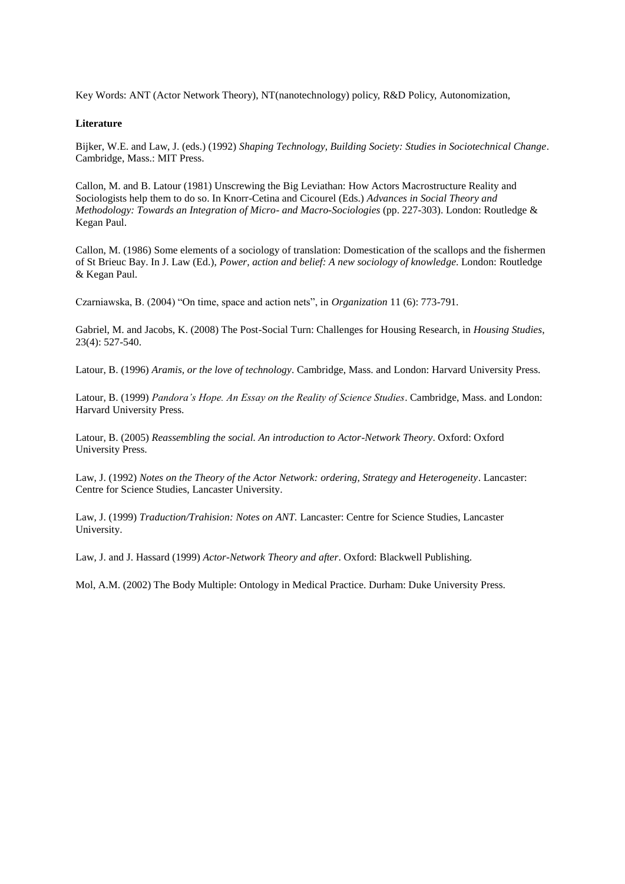Key Words: ANT (Actor Network Theory), NT(nanotechnology) policy, R&D Policy, Autonomization,

#### **Literature**

Bijker, W.E. and Law, J. (eds.) (1992) *Shaping Technology, Building Society: Studies in Sociotechnical Change*. Cambridge, Mass.: MIT Press.

Callon, M. and B. Latour (1981) Unscrewing the Big Leviathan: How Actors Macrostructure Reality and Sociologists help them to do so. In Knorr-Cetina and Cicourel (Eds.) *Advances in Social Theory and Methodology: Towards an Integration of Micro- and Macro-Sociologies* (pp. 227-303). London: Routledge & Kegan Paul.

Callon, M. (1986) Some elements of a sociology of translation: Domestication of the scallops and the fishermen of St Brieuc Bay. In J. Law (Ed.), *Power, action and belief: A new sociology of knowledge*. London: Routledge & Kegan Paul.

Czarniawska, B. (2004) "On time, space and action nets", in *Organization* 11 (6): 773-791.

Gabriel, M. and Jacobs, K. (2008) The Post-Social Turn: Challenges for Housing Research, in *Housing Studies*, 23(4): 527-540.

Latour, B. (1996) *Aramis, or the love of technology*. Cambridge, Mass. and London: Harvard University Press.

Latour, B. (1999) *Pandora's Hope. An Essay on the Reality of Science Studies*. Cambridge, Mass. and London: Harvard University Press.

Latour, B. (2005) *Reassembling the social. An introduction to Actor-Network Theory*. Oxford: Oxford University Press.

Law, J. (1992) *Notes on the Theory of the Actor Network: ordering, Strategy and Heterogeneity*. Lancaster: Centre for Science Studies, Lancaster University.

Law, J. (1999) *Traduction/Trahision: Notes on ANT.* Lancaster: Centre for Science Studies, Lancaster University.

Law, J. and J. Hassard (1999) *Actor-Network Theory and after*. Oxford: Blackwell Publishing.

Mol, A.M. (2002) The Body Multiple: Ontology in Medical Practice. Durham: Duke University Press.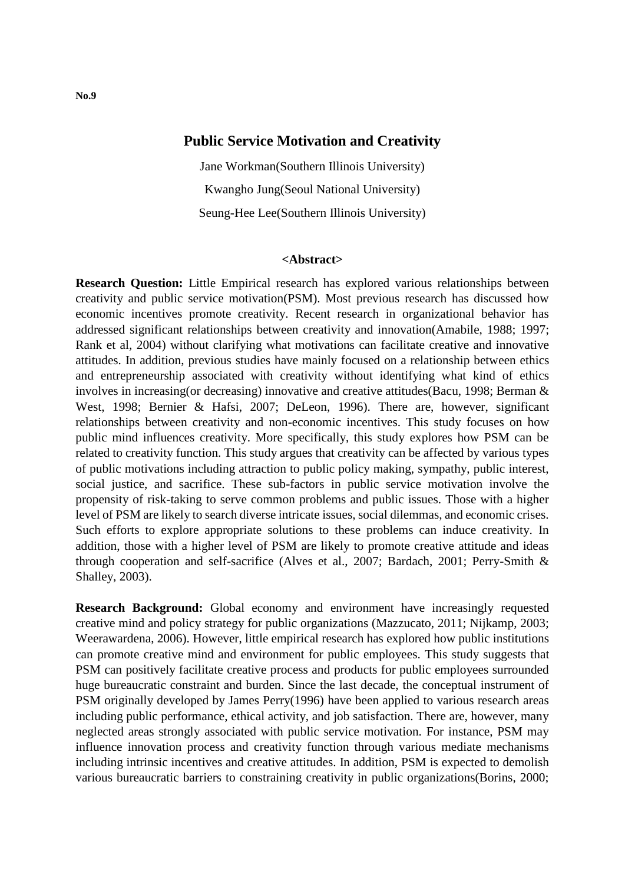# **Public Service Motivation and Creativity**

Jane Workman(Southern Illinois University) Kwangho Jung(Seoul National University) Seung-Hee Lee(Southern Illinois University)

### **<Abstract>**

**Research Question:** Little Empirical research has explored various relationships between creativity and public service motivation(PSM). Most previous research has discussed how economic incentives promote creativity. Recent research in organizational behavior has addressed significant relationships between creativity and innovation(Amabile, 1988; 1997; Rank et al, 2004) without clarifying what motivations can facilitate creative and innovative attitudes. In addition, previous studies have mainly focused on a relationship between ethics and entrepreneurship associated with creativity without identifying what kind of ethics involves in increasing(or decreasing) innovative and creative attitudes(Bacu, 1998; Berman & West, 1998; Bernier & Hafsi, 2007; DeLeon, 1996). There are, however, significant relationships between creativity and non-economic incentives. This study focuses on how public mind influences creativity. More specifically, this study explores how PSM can be related to creativity function. This study argues that creativity can be affected by various types of public motivations including attraction to public policy making, sympathy, public interest, social justice, and sacrifice. These sub-factors in public service motivation involve the propensity of risk-taking to serve common problems and public issues. Those with a higher level of PSM are likely to search diverse intricate issues, social dilemmas, and economic crises. Such efforts to explore appropriate solutions to these problems can induce creativity. In addition, those with a higher level of PSM are likely to promote creative attitude and ideas through cooperation and self-sacrifice (Alves et al., 2007; Bardach, 2001; Perry-Smith & Shalley, 2003).

**Research Background:** Global economy and environment have increasingly requested creative mind and policy strategy for public organizations (Mazzucato, 2011; Nijkamp, 2003; Weerawardena, 2006). However, little empirical research has explored how public institutions can promote creative mind and environment for public employees. This study suggests that PSM can positively facilitate creative process and products for public employees surrounded huge bureaucratic constraint and burden. Since the last decade, the conceptual instrument of PSM originally developed by James Perry(1996) have been applied to various research areas including public performance, ethical activity, and job satisfaction. There are, however, many neglected areas strongly associated with public service motivation. For instance, PSM may influence innovation process and creativity function through various mediate mechanisms including intrinsic incentives and creative attitudes. In addition, PSM is expected to demolish various bureaucratic barriers to constraining creativity in public organizations(Borins, 2000;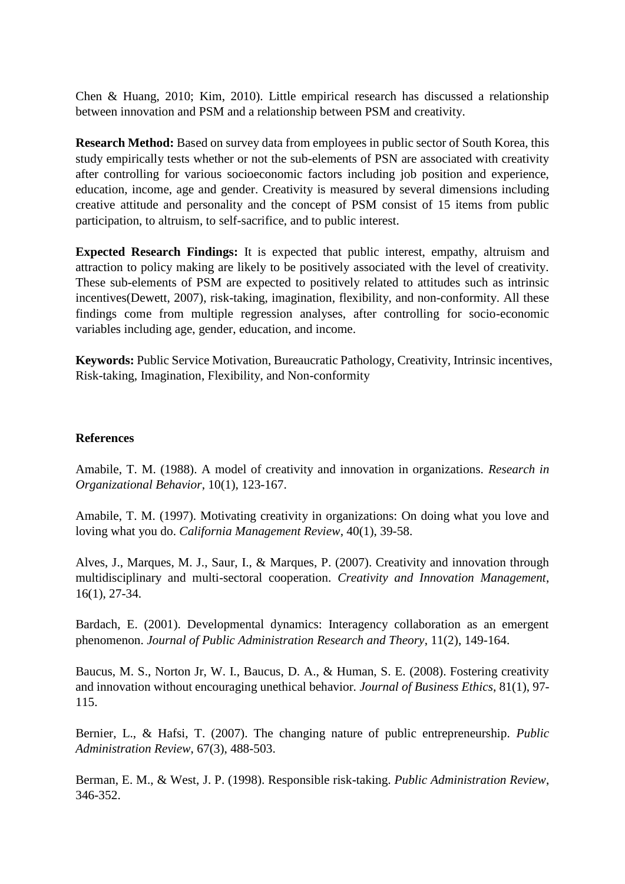Chen & Huang, 2010; Kim, 2010). Little empirical research has discussed a relationship between innovation and PSM and a relationship between PSM and creativity.

**Research Method:** Based on survey data from employees in public sector of South Korea, this study empirically tests whether or not the sub-elements of PSN are associated with creativity after controlling for various socioeconomic factors including job position and experience, education, income, age and gender. Creativity is measured by several dimensions including creative attitude and personality and the concept of PSM consist of 15 items from public participation, to altruism, to self-sacrifice, and to public interest.

**Expected Research Findings:** It is expected that public interest, empathy, altruism and attraction to policy making are likely to be positively associated with the level of creativity. These sub-elements of PSM are expected to positively related to attitudes such as intrinsic incentives(Dewett, 2007), risk-taking, imagination, flexibility, and non-conformity. All these findings come from multiple regression analyses, after controlling for socio-economic variables including age, gender, education, and income.

**Keywords:** Public Service Motivation, Bureaucratic Pathology, Creativity, Intrinsic incentives, Risk-taking, Imagination, Flexibility, and Non-conformity

## **References**

Amabile, T. M. (1988). A model of creativity and innovation in organizations. *Research in Organizational Behavior*, 10(1), 123-167.

Amabile, T. M. (1997). Motivating creativity in organizations: On doing what you love and loving what you do. *California Management Review*, 40(1), 39-58.

Alves, J., Marques, M. J., Saur, I., & Marques, P. (2007). Creativity and innovation through multidisciplinary and multi-sectoral cooperation. *Creativity and Innovation Management*, 16(1), 27-34.

Bardach, E. (2001). Developmental dynamics: Interagency collaboration as an emergent phenomenon. *Journal of Public Administration Research and Theory*, 11(2), 149-164.

Baucus, M. S., Norton Jr, W. I., Baucus, D. A., & Human, S. E. (2008). Fostering creativity and innovation without encouraging unethical behavior*. Journal of Business Ethics*, 81(1), 97- 115.

Bernier, L., & Hafsi, T. (2007). The changing nature of public entrepreneurship. *Public Administration Review*, 67(3), 488-503.

Berman, E. M., & West, J. P. (1998). Responsible risk-taking. *Public Administration Review*, 346-352.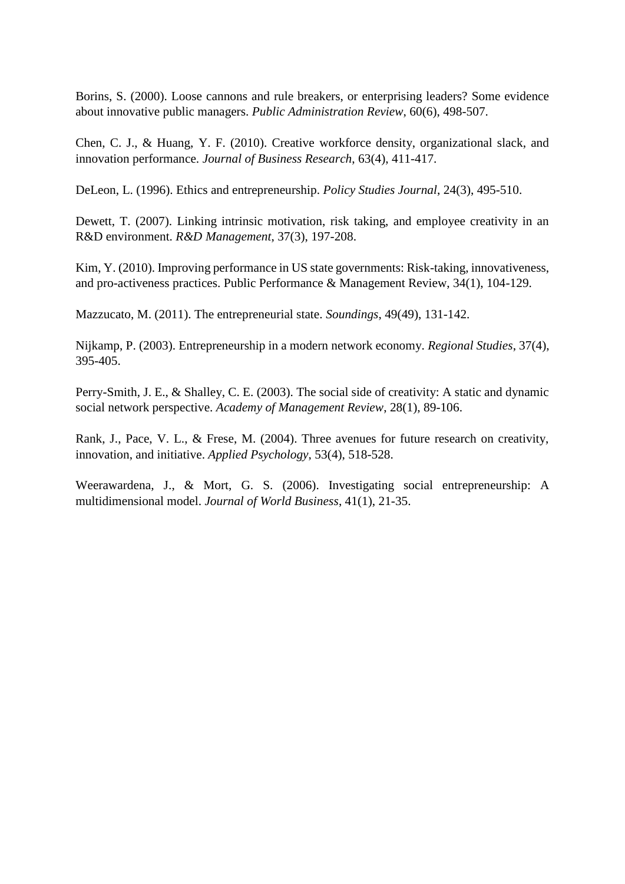Borins, S. (2000). Loose cannons and rule breakers, or enterprising leaders? Some evidence about innovative public managers. *Public Administration Review*, 60(6), 498-507.

Chen, C. J., & Huang, Y. F. (2010). Creative workforce density, organizational slack, and innovation performance. *Journal of Business Research*, 63(4), 411-417.

DeLeon, L. (1996). Ethics and entrepreneurship. *Policy Studies Journal*, 24(3), 495-510.

Dewett, T. (2007). Linking intrinsic motivation, risk taking, and employee creativity in an R&D environment. *R&D Management*, 37(3), 197-208.

Kim, Y. (2010). Improving performance in US state governments: Risk-taking, innovativeness, and pro-activeness practices. Public Performance & Management Review, 34(1), 104-129.

Mazzucato, M. (2011). The entrepreneurial state. *Soundings*, 49(49), 131-142.

Nijkamp, P. (2003). Entrepreneurship in a modern network economy. *Regional Studies*, 37(4), 395-405.

Perry-Smith, J. E., & Shalley, C. E. (2003). The social side of creativity: A static and dynamic social network perspective. *Academy of Management Review*, 28(1), 89-106.

Rank, J., Pace, V. L., & Frese, M. (2004). Three avenues for future research on creativity, innovation, and initiative. *Applied Psychology*, 53(4), 518-528.

Weerawardena, J., & Mort, G. S. (2006). Investigating social entrepreneurship: A multidimensional model. *Journal of World Business*, 41(1), 21-35.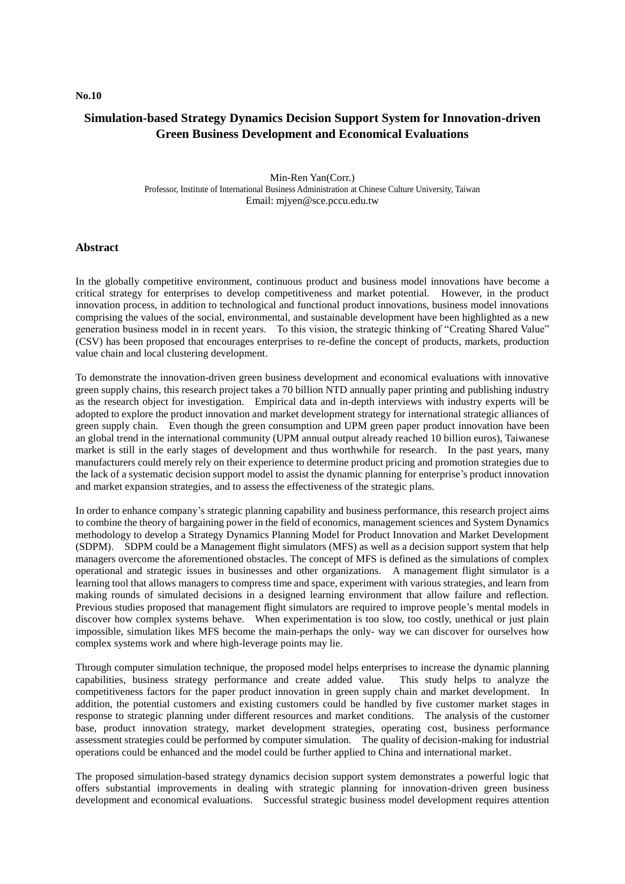#### **No.10**

## **Simulation-based Strategy Dynamics Decision Support System for Innovation-driven Green Business Development and Economical Evaluations**

Min-Ren Yan(Corr.) Professor, Institute of International Business Administration at Chinese Culture University, Taiwan Email: mjyen@sce.pccu.edu.tw

#### **Abstract**

In the globally competitive environment, continuous product and business model innovations have become a critical strategy for enterprises to develop competitiveness and market potential. However, in the product innovation process, in addition to technological and functional product innovations, business model innovations comprising the values of the social, environmental, and sustainable development have been highlighted as a new generation business model in in recent years. To this vision, the strategic thinking of "Creating Shared Value" (CSV) has been proposed that encourages enterprises to re-define the concept of products, markets, production value chain and local clustering development.

To demonstrate the innovation-driven green business development and economical evaluations with innovative green supply chains, this research project takes a 70 billion NTD annually paper printing and publishing industry as the research object for investigation. Empirical data and in-depth interviews with industry experts will be adopted to explore the product innovation and market development strategy for international strategic alliances of green supply chain. Even though the green consumption and UPM green paper product innovation have been an global trend in the international community (UPM annual output already reached 10 billion euros), Taiwanese market is still in the early stages of development and thus worthwhile for research. In the past years, many manufacturers could merely rely on their experience to determine product pricing and promotion strategies due to the lack of a systematic decision support model to assist the dynamic planning for enterprise's product innovation and market expansion strategies, and to assess the effectiveness of the strategic plans.

In order to enhance company's strategic planning capability and business performance, this research project aims to combine the theory of bargaining power in the field of economics, management sciences and System Dynamics methodology to develop a Strategy Dynamics Planning Model for Product Innovation and Market Development (SDPM). SDPM could be a Management flight simulators (MFS) as well as a decision support system that help managers overcome the aforementioned obstacles. The concept of MFS is defined as the simulations of complex operational and strategic issues in businesses and other organizations. A management flight simulator is a learning tool that allows managers to compress time and space, experiment with various strategies, and learn from making rounds of simulated decisions in a designed learning environment that allow failure and reflection. Previous studies proposed that management flight simulators are required to improve people's mental models in discover how complex systems behave. When experimentation is too slow, too costly, unethical or just plain impossible, simulation likes MFS become the main-perhaps the only- way we can discover for ourselves how complex systems work and where high-leverage points may lie.

Through computer simulation technique, the proposed model helps enterprises to increase the dynamic planning capabilities, business strategy performance and create added value. This study helps to analyze the competitiveness factors for the paper product innovation in green supply chain and market development. In addition, the potential customers and existing customers could be handled by five customer market stages in response to strategic planning under different resources and market conditions. The analysis of the customer base, product innovation strategy, market development strategies, operating cost, business performance assessment strategies could be performed by computer simulation. The quality of decision-making for industrial operations could be enhanced and the model could be further applied to China and international market.

The proposed simulation-based strategy dynamics decision support system demonstrates a powerful logic that offers substantial improvements in dealing with strategic planning for innovation-driven green business development and economical evaluations. Successful strategic business model development requires attention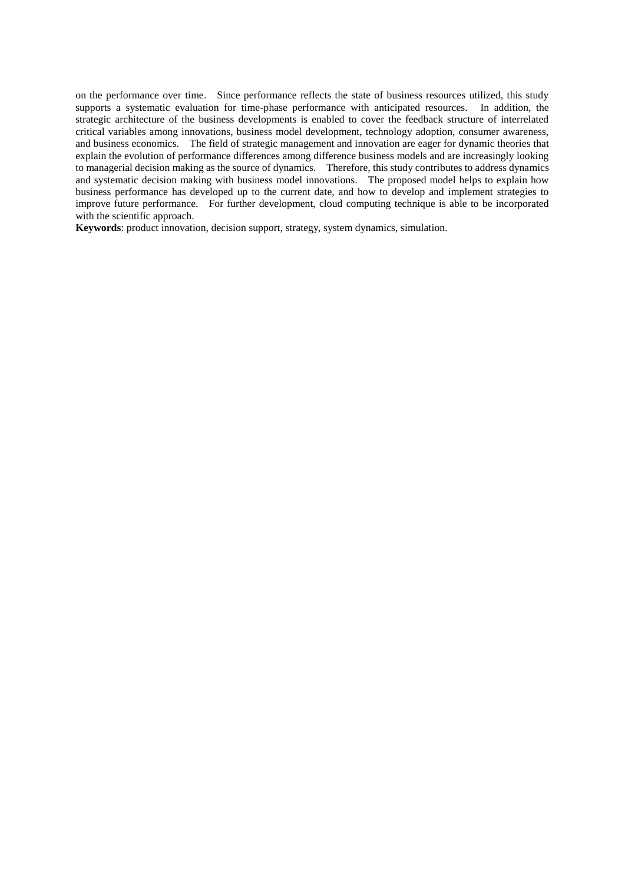on the performance over time. Since performance reflects the state of business resources utilized, this study supports a systematic evaluation for time-phase performance with anticipated resources. In addition, the strategic architecture of the business developments is enabled to cover the feedback structure of interrelated critical variables among innovations, business model development, technology adoption, consumer awareness, and business economics. The field of strategic management and innovation are eager for dynamic theories that explain the evolution of performance differences among difference business models and are increasingly looking to managerial decision making as the source of dynamics. Therefore, this study contributes to address dynamics and systematic decision making with business model innovations. The proposed model helps to explain how business performance has developed up to the current date, and how to develop and implement strategies to improve future performance. For further development, cloud computing technique is able to be incorporated with the scientific approach.

**Keywords**: product innovation, decision support, strategy, system dynamics, simulation.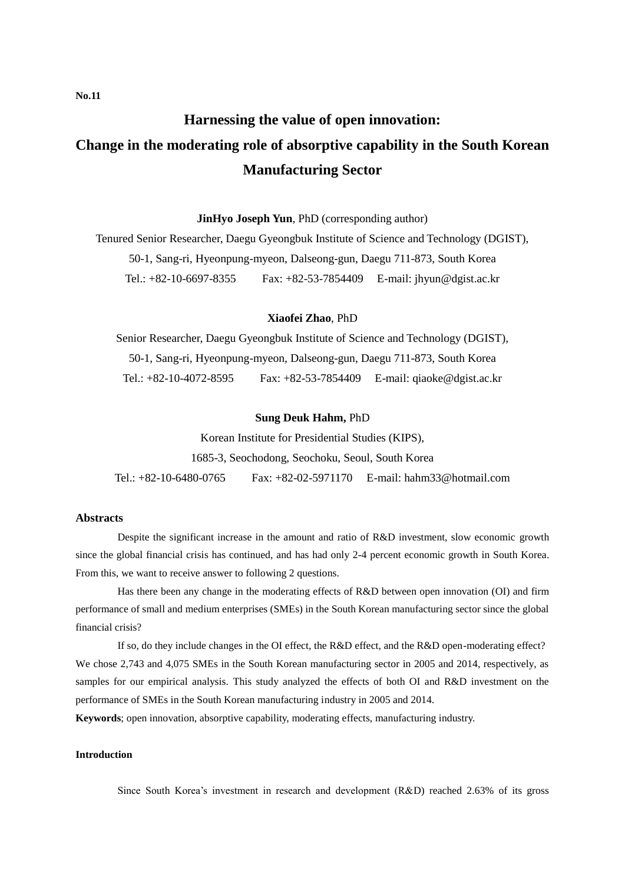# **Harnessing the value of open innovation: Change in the moderating role of absorptive capability in the South Korean Manufacturing Sector**

**JinHyo Joseph Yun**, PhD (corresponding author)

Tenured Senior Researcher, Daegu Gyeongbuk Institute of Science and Technology (DGIST), 50-1, Sang-ri, Hyeonpung-myeon, Dalseong-gun, Daegu 711-873, South Korea Tel.: +82-10-6697-8355 Fax: +82-53-7854409 E-mail: jhyun@dgist.ac.kr

#### **Xiaofei Zhao**, PhD

Senior Researcher, Daegu Gyeongbuk Institute of Science and Technology (DGIST), 50-1, Sang-ri, Hyeonpung-myeon, Dalseong-gun, Daegu 711-873, South Korea Tel.: +82-10-4072-8595 Fax: +82-53-7854409 E-mail: qiaoke@dgist.ac.kr

#### **Sung Deuk Hahm,** PhD

Korean Institute for Presidential Studies (KIPS),

1685-3, Seochodong, Seochoku, Seoul, South Korea

Tel.: +82-10-6480-0765 Fax: +82-02-5971170 E-mail: hahm33@hotmail.com

### **Abstracts**

Despite the significant increase in the amount and ratio of R&D investment, slow economic growth since the global financial crisis has continued, and has had only 2-4 percent economic growth in South Korea. From this, we want to receive answer to following 2 questions.

Has there been any change in the moderating effects of R&D between open innovation (OI) and firm performance of small and medium enterprises (SMEs) in the South Korean manufacturing sector since the global financial crisis?

If so, do they include changes in the OI effect, the R&D effect, and the R&D open-moderating effect? We chose 2,743 and 4,075 SMEs in the South Korean manufacturing sector in 2005 and 2014, respectively, as samples for our empirical analysis. This study analyzed the effects of both OI and R&D investment on the performance of SMEs in the South Korean manufacturing industry in 2005 and 2014.

**Keywords**; open innovation, absorptive capability, moderating effects, manufacturing industry.

#### **Introduction**

Since South Korea's investment in research and development (R&D) reached 2.63% of its gross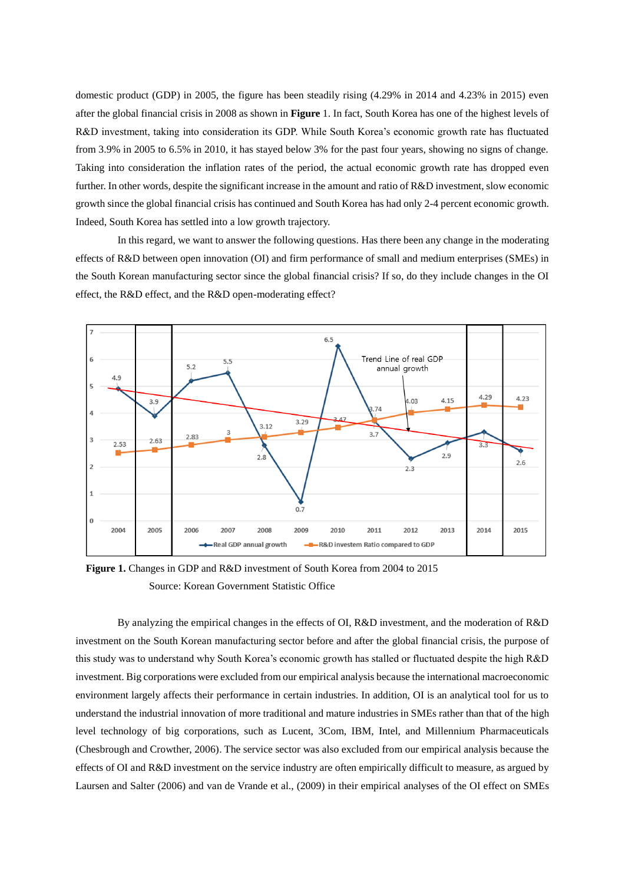domestic product (GDP) in 2005, the figure has been steadily rising (4.29% in 2014 and 4.23% in 2015) even after the global financial crisis in 2008 as shown in **Figure** 1. In fact, South Korea has one of the highest levels of R&D investment, taking into consideration its GDP. While South Korea's economic growth rate has fluctuated from 3.9% in 2005 to 6.5% in 2010, it has stayed below 3% for the past four years, showing no signs of change. Taking into consideration the inflation rates of the period, the actual economic growth rate has dropped even further. In other words, despite the significant increase in the amount and ratio of R&D investment, slow economic growth since the global financial crisis has continued and South Korea has had only 2-4 percent economic growth. Indeed, South Korea has settled into a low growth trajectory.

In this regard, we want to answer the following questions. Has there been any change in the moderating effects of R&D between open innovation (OI) and firm performance of small and medium enterprises (SMEs) in the South Korean manufacturing sector since the global financial crisis? If so, do they include changes in the OI effect, the R&D effect, and the R&D open-moderating effect?



**Figure 1.** Changes in GDP and R&D investment of South Korea from 2004 to 2015 Source: Korean Government Statistic Office

By analyzing the empirical changes in the effects of OI, R&D investment, and the moderation of R&D investment on the South Korean manufacturing sector before and after the global financial crisis, the purpose of this study was to understand why South Korea's economic growth has stalled or fluctuated despite the high R&D investment. Big corporations were excluded from our empirical analysis because the international macroeconomic environment largely affects their performance in certain industries. In addition, OI is an analytical tool for us to understand the industrial innovation of more traditional and mature industries in SMEs rather than that of the high level technology of big corporations, such as Lucent, 3Com, IBM, Intel, and Millennium Pharmaceuticals (Chesbrough and Crowther, 2006). The service sector was also excluded from our empirical analysis because the effects of OI and R&D investment on the service industry are often empirically difficult to measure, as argued by Laursen and Salter (2006) and van de Vrande et al., (2009) in their empirical analyses of the OI effect on SMEs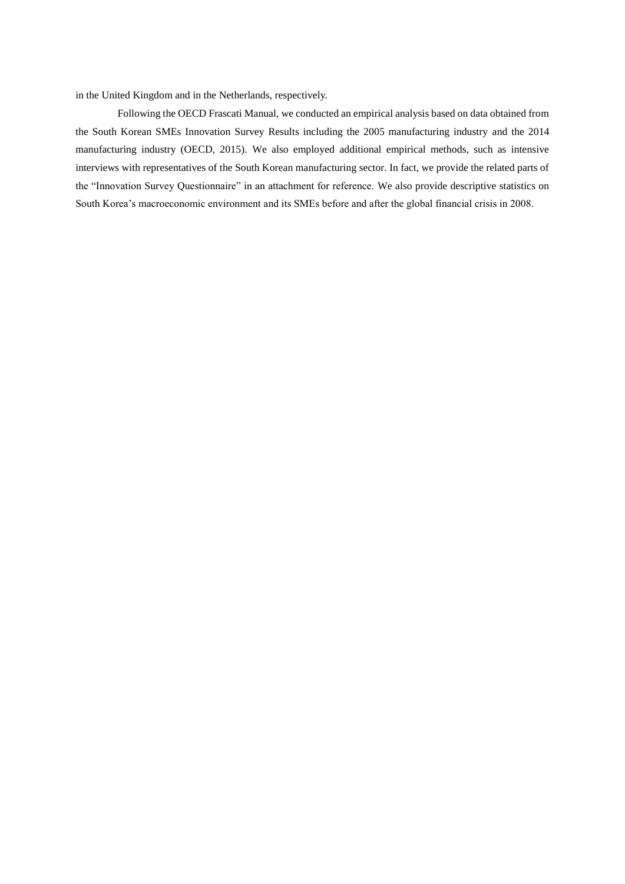in the United Kingdom and in the Netherlands, respectively.

Following the OECD Frascati Manual, we conducted an empirical analysis based on data obtained from the South Korean SMEs Innovation Survey Results including the 2005 manufacturing industry and the 2014 manufacturing industry (OECD, 2015). We also employed additional empirical methods, such as intensive interviews with representatives of the South Korean manufacturing sector. In fact, we provide the related parts of the "Innovation Survey Questionnaire" in an attachment for reference. We also provide descriptive statistics on South Korea's macroeconomic environment and its SMEs before and after the global financial crisis in 2008.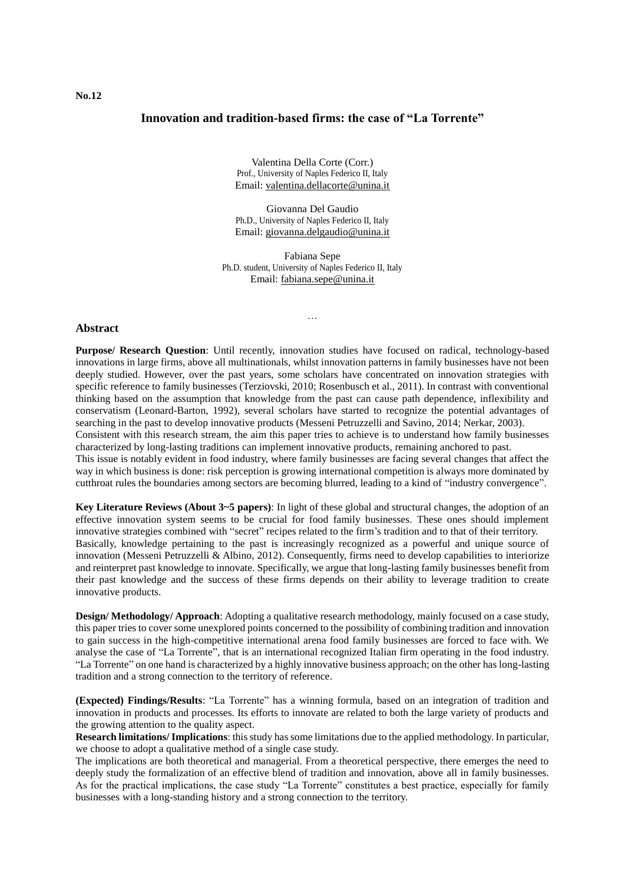## **Innovation and tradition-based firms: the case of "La Torrente"**

Valentina Della Corte (Corr.) Prof., University of Naples Federico II, Italy Email: [valentina.dellacorte@unina.it](mailto:valentina.dellacorte@unina.it)

Giovanna Del Gaudio Ph.D., University of Naples Federico II, Italy Email: [giovanna.delgaudio@unina.it](mailto:giovanna.delgaudio@unina.it)

Fabiana Sepe Ph.D. student, University of Naples Federico II, Italy Email[: fabiana.sepe@unina.it](mailto:fabiana.sepe@unina.it)

…

#### **Abstract**

**Purpose/ Research Question**: Until recently, innovation studies have focused on radical, technology-based innovations in large firms, above all multinationals, whilst innovation patterns in family businesses have not been deeply studied. However, over the past years, some scholars have concentrated on innovation strategies with specific reference to family businesses (Terziovski, 2010; Rosenbusch et al., 2011). In contrast with conventional thinking based on the assumption that knowledge from the past can cause path dependence, inflexibility and conservatism (Leonard-Barton, 1992), several scholars have started to recognize the potential advantages of searching in the past to develop innovative products (Messeni Petruzzelli and Savino, 2014; Nerkar, 2003). Consistent with this research stream, the aim this paper tries to achieve is to understand how family businesses characterized by long-lasting traditions can implement innovative products, remaining anchored to past. This issue is notably evident in food industry, where family businesses are facing several changes that affect the way in which business is done: risk perception is growing international competition is always more dominated by cutthroat rules the boundaries among sectors are becoming blurred, leading to a kind of "industry convergence".

**Key Literature Reviews (About 3~5 papers)**: In light of these global and structural changes, the adoption of an effective innovation system seems to be crucial for food family businesses. These ones should implement innovative strategies combined with "secret" recipes related to the firm's tradition and to that of their territory. Basically, knowledge pertaining to the past is increasingly recognized as a powerful and unique source of innovation (Messeni Petruzzelli & Albino, 2012). Consequently, firms need to develop capabilities to interiorize and reinterpret past knowledge to innovate. Specifically, we argue that long-lasting family businesses benefit from their past knowledge and the success of these firms depends on their ability to leverage tradition to create innovative products.

**Design/ Methodology/ Approach:** Adopting a qualitative research methodology, mainly focused on a case study, this paper tries to cover some unexplored points concerned to the possibility of combining tradition and innovation to gain success in the high-competitive international arena food family businesses are forced to face with. We analyse the case of "La Torrente", that is an international recognized Italian firm operating in the food industry. "La Torrente" on one hand is characterized by a highly innovative business approach; on the other has long-lasting tradition and a strong connection to the territory of reference.

**(Expected) Findings/Results**: "La Torrente" has a winning formula, based on an integration of tradition and innovation in products and processes. Its efforts to innovate are related to both the large variety of products and the growing attention to the quality aspect.

**Research limitations/ Implications**: this study has some limitations due to the applied methodology. In particular, we choose to adopt a qualitative method of a single case study.

The implications are both theoretical and managerial. From a theoretical perspective, there emerges the need to deeply study the formalization of an effective blend of tradition and innovation, above all in family businesses. As for the practical implications, the case study "La Torrente" constitutes a best practice, especially for family businesses with a long-standing history and a strong connection to the territory.

**No.12**